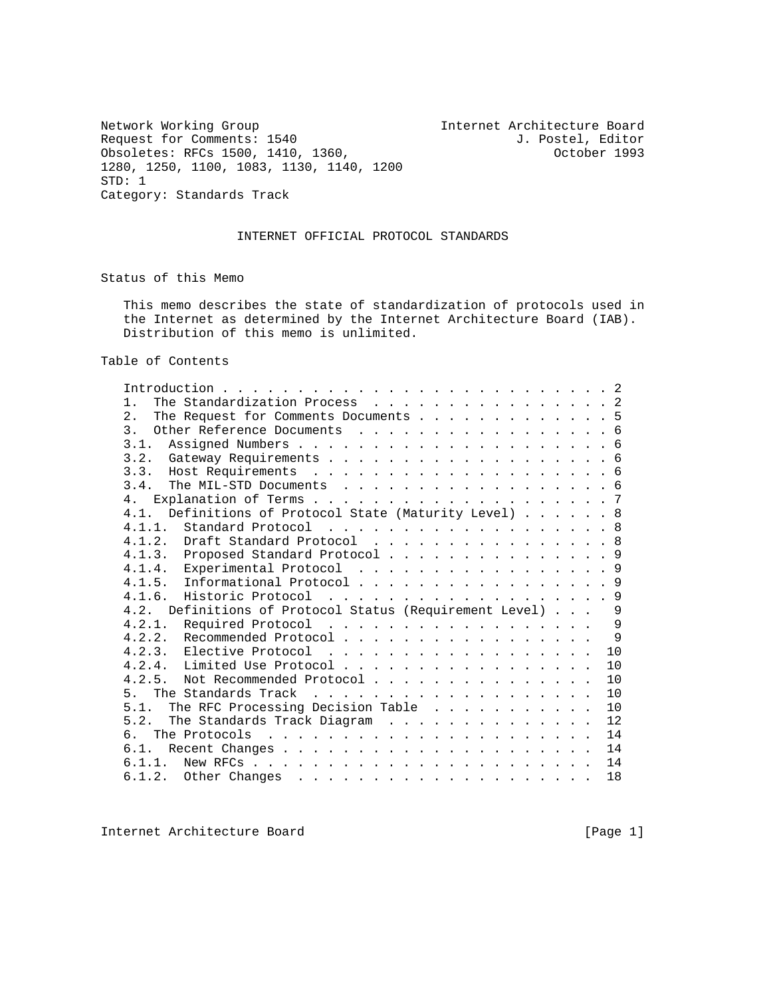Network Working Group<br>
Request for Comments: 1540 1. Postel, Editor<br>
J. Postel, Editor Request for Comments: 1540<br>
Obsoletes: RFCs 1500, 1410, 1360, The Comment obsoletes: RFCs 1500, 1410, 1360, Obsoletes: RFCs 1500, 1410, 1360, 1280, 1250, 1100, 1083, 1130, 1140, 1200 STD: 1 Category: Standards Track

## INTERNET OFFICIAL PROTOCOL STANDARDS

Status of this Memo

 This memo describes the state of standardization of protocols used in the Internet as determined by the Internet Architecture Board (IAB). Distribution of this memo is unlimited.

Table of Contents

| The Standardization Process 2<br>$1$ .                                                                       |    |
|--------------------------------------------------------------------------------------------------------------|----|
| 2.<br>The Request for Comments Documents 5                                                                   |    |
| 3 <sub>1</sub><br>Other Reference Documents 6                                                                |    |
| 3.1.                                                                                                         |    |
|                                                                                                              |    |
|                                                                                                              |    |
| 3.4.<br>The MIL-STD Documents 6                                                                              |    |
| 4 <sub>1</sub>                                                                                               |    |
| Definitions of Protocol State (Maturity Level) 8<br>4.1.                                                     |    |
| Standard Protocol 8<br>4.1.1.                                                                                |    |
| 4.1.2. Draft Standard Protocol 8                                                                             |    |
| 4.1.3. Proposed Standard Protocol 9                                                                          |    |
| 4.1.4. Experimental Protocol 9                                                                               |    |
| Informational Protocol 9<br>4.1.5.                                                                           |    |
| 4.1.6. Historic Protocol 9                                                                                   |    |
| Definitions of Protocol Status (Requirement Level)<br>4.2.                                                   | 9  |
| 4.2.1. Required Protocol                                                                                     | 9  |
| 4.2.2. Recommended Protocol                                                                                  | 9  |
|                                                                                                              | 10 |
|                                                                                                              | 10 |
| 4 2 5<br>Not Recommended Protocol                                                                            | 10 |
| 5 <sub>1</sub>                                                                                               | 10 |
| The RFC Processing Decision Table<br>5 1                                                                     | 10 |
| 5 2<br>The Standards Track Diagram                                                                           | 12 |
| რ.                                                                                                           | 14 |
| 6.1.                                                                                                         | 14 |
| 6.1.1.<br>New RFCs $\ldots$ $\ldots$ $\ldots$ $\ldots$ $\ldots$ $\ldots$ $\ldots$ $\ldots$ $\ldots$ $\ldots$ | 14 |
|                                                                                                              | 18 |
|                                                                                                              |    |

Internet Architecture Board [Page 1]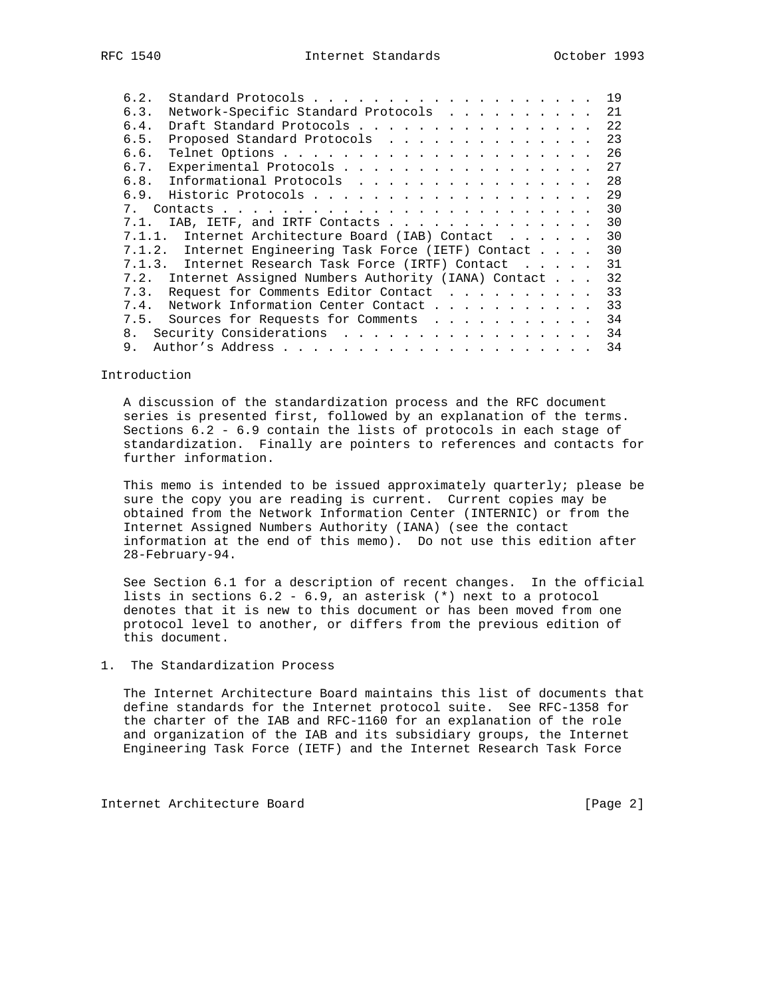| 6.2.        |                                                    |  | 19 |
|-------------|----------------------------------------------------|--|----|
| 6.3.        | Network-Specific Standard Protocols                |  | 21 |
| 6.4.        | Draft Standard Protocols                           |  | 22 |
| 6.5.        | Proposed Standard Protocols                        |  | 23 |
| 6.6.        |                                                    |  | 26 |
| 6.7.        | Experimental Protocols                             |  | 27 |
| 6.8.        | Informational Protocols                            |  | 28 |
| 6.9.        |                                                    |  | 29 |
| $7_{\odot}$ |                                                    |  | 30 |
| 7.1.        | IAB, IETF, and IRTF Contacts                       |  | 30 |
| 7.1.1.      | Internet Architecture Board (IAB) Contact          |  | 30 |
| 7.1.2.      | Internet Engineering Task Force (IETF) Contact     |  | 30 |
| 7.1.3.      | Internet Research Task Force (IRTF) Contact        |  | 31 |
| 7.2.        | Internet Assigned Numbers Authority (IANA) Contact |  | 32 |
| 7.3.        | Request for Comments Editor Contact                |  | 33 |
| 7.4.        | Network Information Center Contact                 |  | 33 |
| 7.5.        | Sources for Requests for Comments                  |  | 34 |
| 8.          | Security Considerations                            |  | 34 |
| 9.          |                                                    |  | 34 |

#### Introduction

 A discussion of the standardization process and the RFC document series is presented first, followed by an explanation of the terms. Sections 6.2 - 6.9 contain the lists of protocols in each stage of standardization. Finally are pointers to references and contacts for further information.

 This memo is intended to be issued approximately quarterly; please be sure the copy you are reading is current. Current copies may be obtained from the Network Information Center (INTERNIC) or from the Internet Assigned Numbers Authority (IANA) (see the contact information at the end of this memo). Do not use this edition after 28-February-94.

 See Section 6.1 for a description of recent changes. In the official lists in sections 6.2 - 6.9, an asterisk (\*) next to a protocol denotes that it is new to this document or has been moved from one protocol level to another, or differs from the previous edition of this document.

### 1. The Standardization Process

 The Internet Architecture Board maintains this list of documents that define standards for the Internet protocol suite. See RFC-1358 for the charter of the IAB and RFC-1160 for an explanation of the role and organization of the IAB and its subsidiary groups, the Internet Engineering Task Force (IETF) and the Internet Research Task Force

Internet Architecture Board [Page 2]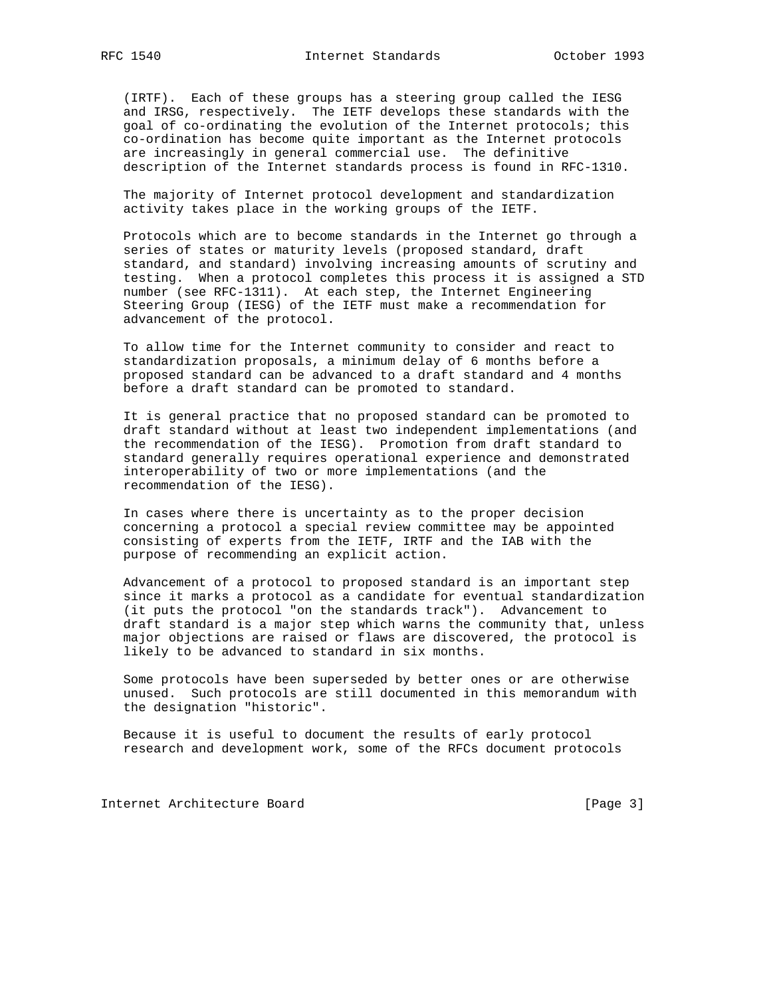(IRTF). Each of these groups has a steering group called the IESG and IRSG, respectively. The IETF develops these standards with the goal of co-ordinating the evolution of the Internet protocols; this co-ordination has become quite important as the Internet protocols are increasingly in general commercial use. The definitive description of the Internet standards process is found in RFC-1310.

 The majority of Internet protocol development and standardization activity takes place in the working groups of the IETF.

 Protocols which are to become standards in the Internet go through a series of states or maturity levels (proposed standard, draft standard, and standard) involving increasing amounts of scrutiny and testing. When a protocol completes this process it is assigned a STD number (see RFC-1311). At each step, the Internet Engineering Steering Group (IESG) of the IETF must make a recommendation for advancement of the protocol.

 To allow time for the Internet community to consider and react to standardization proposals, a minimum delay of 6 months before a proposed standard can be advanced to a draft standard and 4 months before a draft standard can be promoted to standard.

 It is general practice that no proposed standard can be promoted to draft standard without at least two independent implementations (and the recommendation of the IESG). Promotion from draft standard to standard generally requires operational experience and demonstrated interoperability of two or more implementations (and the recommendation of the IESG).

 In cases where there is uncertainty as to the proper decision concerning a protocol a special review committee may be appointed consisting of experts from the IETF, IRTF and the IAB with the purpose of recommending an explicit action.

 Advancement of a protocol to proposed standard is an important step since it marks a protocol as a candidate for eventual standardization (it puts the protocol "on the standards track"). Advancement to draft standard is a major step which warns the community that, unless major objections are raised or flaws are discovered, the protocol is likely to be advanced to standard in six months.

 Some protocols have been superseded by better ones or are otherwise unused. Such protocols are still documented in this memorandum with the designation "historic".

 Because it is useful to document the results of early protocol research and development work, some of the RFCs document protocols

Internet Architecture Board [Page 3]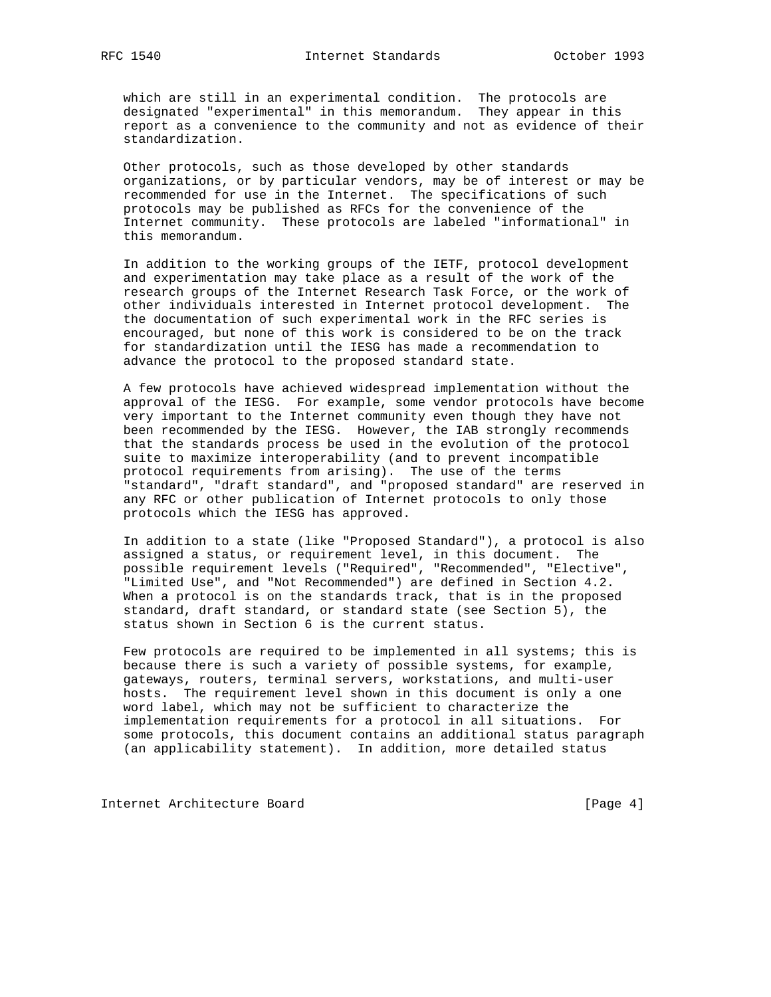which are still in an experimental condition. The protocols are designated "experimental" in this memorandum. They appear in this report as a convenience to the community and not as evidence of their standardization.

 Other protocols, such as those developed by other standards organizations, or by particular vendors, may be of interest or may be recommended for use in the Internet. The specifications of such protocols may be published as RFCs for the convenience of the Internet community. These protocols are labeled "informational" in this memorandum.

 In addition to the working groups of the IETF, protocol development and experimentation may take place as a result of the work of the research groups of the Internet Research Task Force, or the work of other individuals interested in Internet protocol development. The the documentation of such experimental work in the RFC series is encouraged, but none of this work is considered to be on the track for standardization until the IESG has made a recommendation to advance the protocol to the proposed standard state.

 A few protocols have achieved widespread implementation without the approval of the IESG. For example, some vendor protocols have become very important to the Internet community even though they have not been recommended by the IESG. However, the IAB strongly recommends that the standards process be used in the evolution of the protocol suite to maximize interoperability (and to prevent incompatible protocol requirements from arising). The use of the terms "standard", "draft standard", and "proposed standard" are reserved in any RFC or other publication of Internet protocols to only those protocols which the IESG has approved.

 In addition to a state (like "Proposed Standard"), a protocol is also assigned a status, or requirement level, in this document. The possible requirement levels ("Required", "Recommended", "Elective", "Limited Use", and "Not Recommended") are defined in Section 4.2. When a protocol is on the standards track, that is in the proposed standard, draft standard, or standard state (see Section 5), the status shown in Section 6 is the current status.

 Few protocols are required to be implemented in all systems; this is because there is such a variety of possible systems, for example, gateways, routers, terminal servers, workstations, and multi-user hosts. The requirement level shown in this document is only a one word label, which may not be sufficient to characterize the implementation requirements for a protocol in all situations. For some protocols, this document contains an additional status paragraph (an applicability statement). In addition, more detailed status

Internet Architecture Board [Page 4]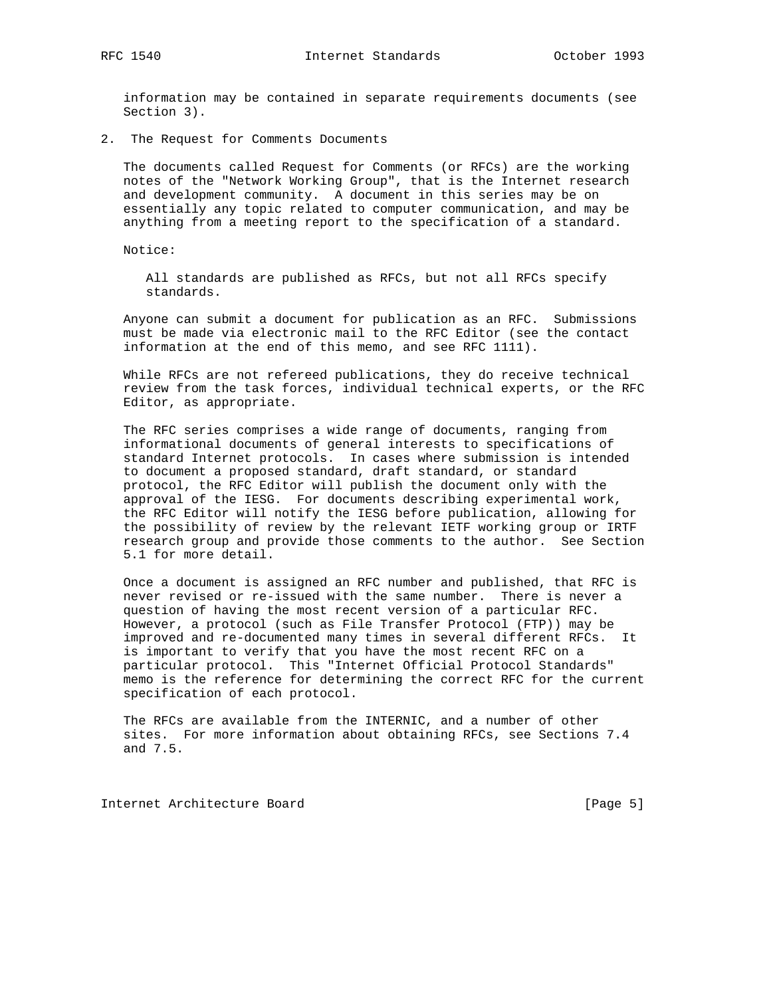information may be contained in separate requirements documents (see Section 3).

2. The Request for Comments Documents

 The documents called Request for Comments (or RFCs) are the working notes of the "Network Working Group", that is the Internet research and development community. A document in this series may be on essentially any topic related to computer communication, and may be anything from a meeting report to the specification of a standard.

Notice:

 All standards are published as RFCs, but not all RFCs specify standards.

 Anyone can submit a document for publication as an RFC. Submissions must be made via electronic mail to the RFC Editor (see the contact information at the end of this memo, and see RFC 1111).

 While RFCs are not refereed publications, they do receive technical review from the task forces, individual technical experts, or the RFC Editor, as appropriate.

 The RFC series comprises a wide range of documents, ranging from informational documents of general interests to specifications of standard Internet protocols. In cases where submission is intended to document a proposed standard, draft standard, or standard protocol, the RFC Editor will publish the document only with the approval of the IESG. For documents describing experimental work, the RFC Editor will notify the IESG before publication, allowing for the possibility of review by the relevant IETF working group or IRTF research group and provide those comments to the author. See Section 5.1 for more detail.

 Once a document is assigned an RFC number and published, that RFC is never revised or re-issued with the same number. There is never a question of having the most recent version of a particular RFC. However, a protocol (such as File Transfer Protocol (FTP)) may be improved and re-documented many times in several different RFCs. It is important to verify that you have the most recent RFC on a particular protocol. This "Internet Official Protocol Standards" memo is the reference for determining the correct RFC for the current specification of each protocol.

 The RFCs are available from the INTERNIC, and a number of other sites. For more information about obtaining RFCs, see Sections 7.4 and 7.5.

Internet Architecture Board [Page 5]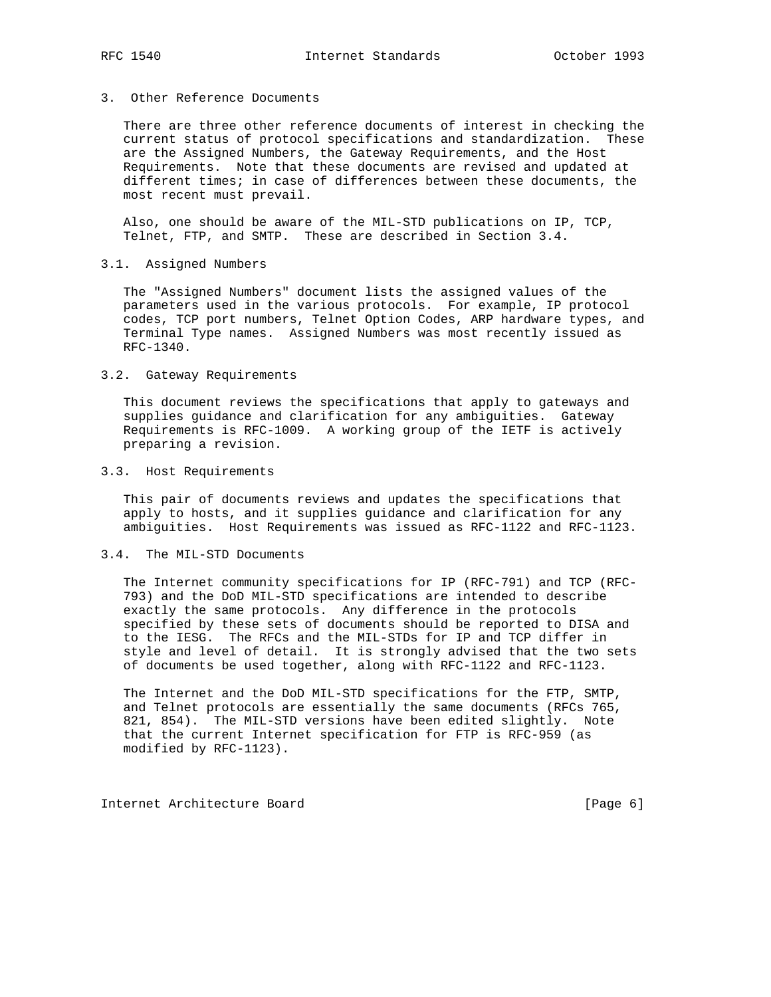### 3. Other Reference Documents

 There are three other reference documents of interest in checking the current status of protocol specifications and standardization. These are the Assigned Numbers, the Gateway Requirements, and the Host Requirements. Note that these documents are revised and updated at different times; in case of differences between these documents, the most recent must prevail.

 Also, one should be aware of the MIL-STD publications on IP, TCP, Telnet, FTP, and SMTP. These are described in Section 3.4.

#### 3.1. Assigned Numbers

 The "Assigned Numbers" document lists the assigned values of the parameters used in the various protocols. For example, IP protocol codes, TCP port numbers, Telnet Option Codes, ARP hardware types, and Terminal Type names. Assigned Numbers was most recently issued as RFC-1340.

### 3.2. Gateway Requirements

 This document reviews the specifications that apply to gateways and supplies guidance and clarification for any ambiguities. Gateway Requirements is RFC-1009. A working group of the IETF is actively preparing a revision.

#### 3.3. Host Requirements

 This pair of documents reviews and updates the specifications that apply to hosts, and it supplies guidance and clarification for any ambiguities. Host Requirements was issued as RFC-1122 and RFC-1123.

#### 3.4. The MIL-STD Documents

 The Internet community specifications for IP (RFC-791) and TCP (RFC- 793) and the DoD MIL-STD specifications are intended to describe exactly the same protocols. Any difference in the protocols specified by these sets of documents should be reported to DISA and to the IESG. The RFCs and the MIL-STDs for IP and TCP differ in style and level of detail. It is strongly advised that the two sets of documents be used together, along with RFC-1122 and RFC-1123.

 The Internet and the DoD MIL-STD specifications for the FTP, SMTP, and Telnet protocols are essentially the same documents (RFCs 765, 821, 854). The MIL-STD versions have been edited slightly. Note that the current Internet specification for FTP is RFC-959 (as modified by RFC-1123).

Internet Architecture Board [Page 6]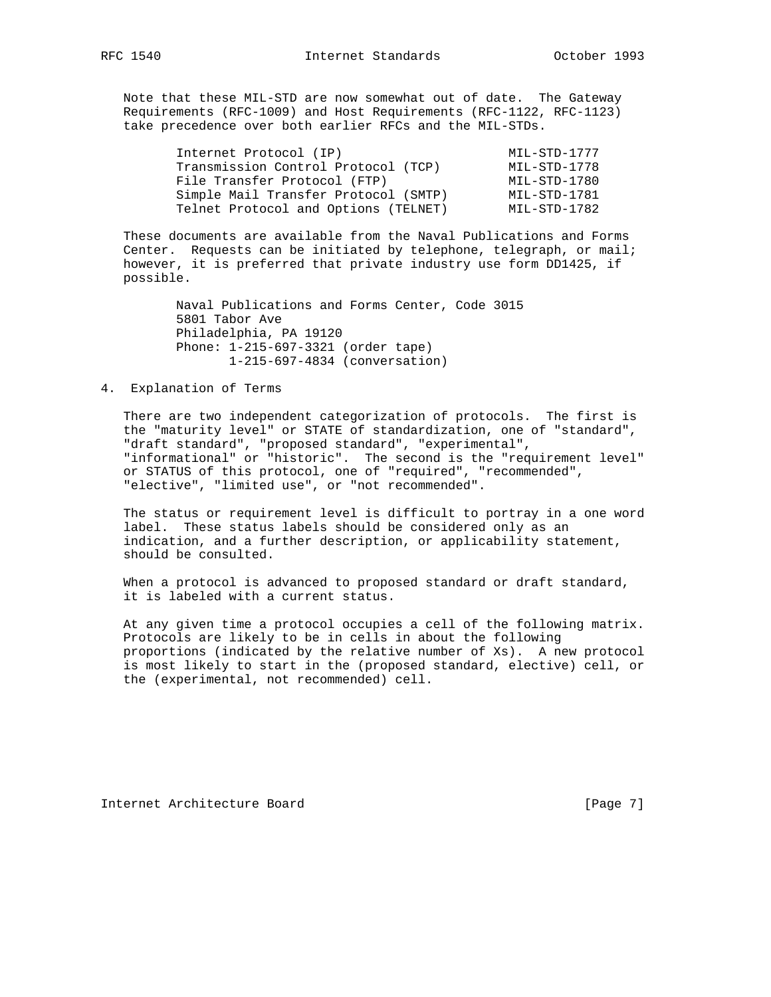Note that these MIL-STD are now somewhat out of date. The Gateway Requirements (RFC-1009) and Host Requirements (RFC-1122, RFC-1123) take precedence over both earlier RFCs and the MIL-STDs.

| Internet Protocol (IP)               | MIL-STD-1777 |
|--------------------------------------|--------------|
| Transmission Control Protocol (TCP)  | MIL-STD-1778 |
| File Transfer Protocol (FTP)         | MIL-STD-1780 |
| Simple Mail Transfer Protocol (SMTP) | MIL-STD-1781 |
| Telnet Protocol and Options (TELNET) | MIL-STD-1782 |

 These documents are available from the Naval Publications and Forms Center. Requests can be initiated by telephone, telegraph, or mail; however, it is preferred that private industry use form DD1425, if possible.

> Naval Publications and Forms Center, Code 3015 5801 Tabor Ave Philadelphia, PA 19120 Phone: 1-215-697-3321 (order tape) 1-215-697-4834 (conversation)

### 4. Explanation of Terms

 There are two independent categorization of protocols. The first is the "maturity level" or STATE of standardization, one of "standard", "draft standard", "proposed standard", "experimental", "informational" or "historic". The second is the "requirement level" or STATUS of this protocol, one of "required", "recommended", "elective", "limited use", or "not recommended".

 The status or requirement level is difficult to portray in a one word label. These status labels should be considered only as an indication, and a further description, or applicability statement, should be consulted.

When a protocol is advanced to proposed standard or draft standard, it is labeled with a current status.

 At any given time a protocol occupies a cell of the following matrix. Protocols are likely to be in cells in about the following proportions (indicated by the relative number of Xs). A new protocol is most likely to start in the (proposed standard, elective) cell, or the (experimental, not recommended) cell.

Internet Architecture Board [Page 7]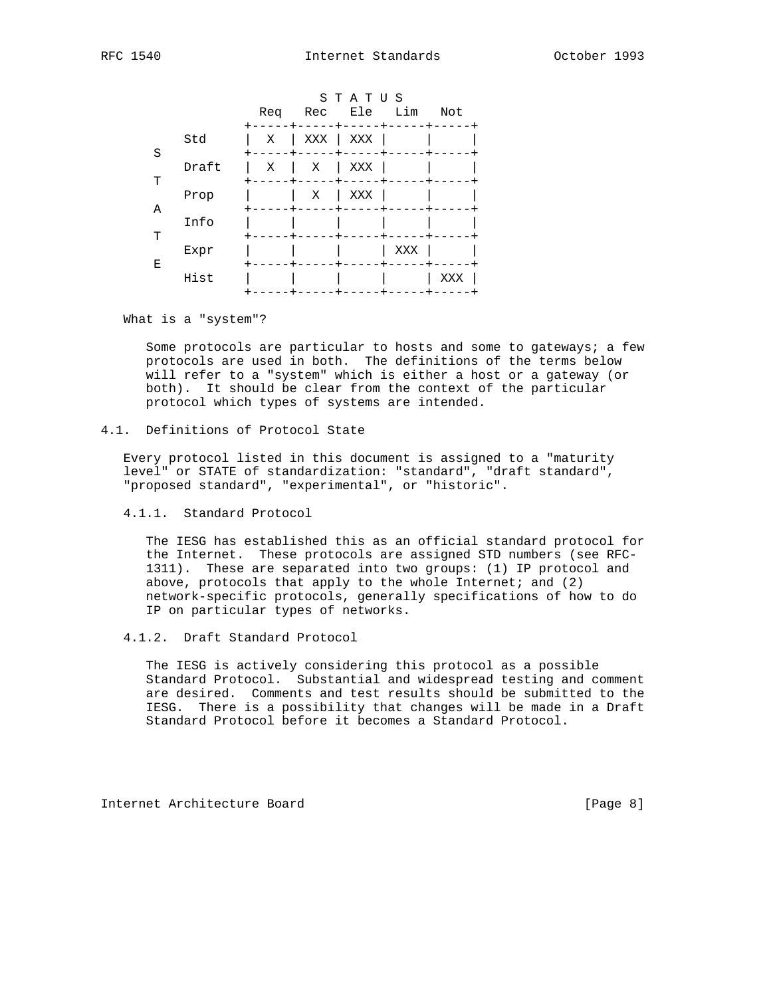|   |       | Req | Rec Ele Lim | STATUS |     | Not |
|---|-------|-----|-------------|--------|-----|-----|
| S | Std   | Χ   | XXX         | XXX    |     |     |
| T | Draft | X   | Χ           | XXX    |     |     |
| Α | Prop  |     | Χ           | XXX    |     |     |
| T | Info  |     |             |        |     |     |
| Ε | Expr  |     |             |        | XXX |     |
|   | Hist  |     |             |        |     | XXX |

What is a "system"?

 Some protocols are particular to hosts and some to gateways; a few protocols are used in both. The definitions of the terms below will refer to a "system" which is either a host or a gateway (or both). It should be clear from the context of the particular protocol which types of systems are intended.

### 4.1. Definitions of Protocol State

 Every protocol listed in this document is assigned to a "maturity level" or STATE of standardization: "standard", "draft standard", "proposed standard", "experimental", or "historic".

4.1.1. Standard Protocol

 The IESG has established this as an official standard protocol for the Internet. These protocols are assigned STD numbers (see RFC- 1311). These are separated into two groups: (1) IP protocol and above, protocols that apply to the whole Internet; and  $(2)$  network-specific protocols, generally specifications of how to do IP on particular types of networks.

4.1.2. Draft Standard Protocol

 The IESG is actively considering this protocol as a possible Standard Protocol. Substantial and widespread testing and comment are desired. Comments and test results should be submitted to the IESG. There is a possibility that changes will be made in a Draft Standard Protocol before it becomes a Standard Protocol.

Internet Architecture Board [Page 8]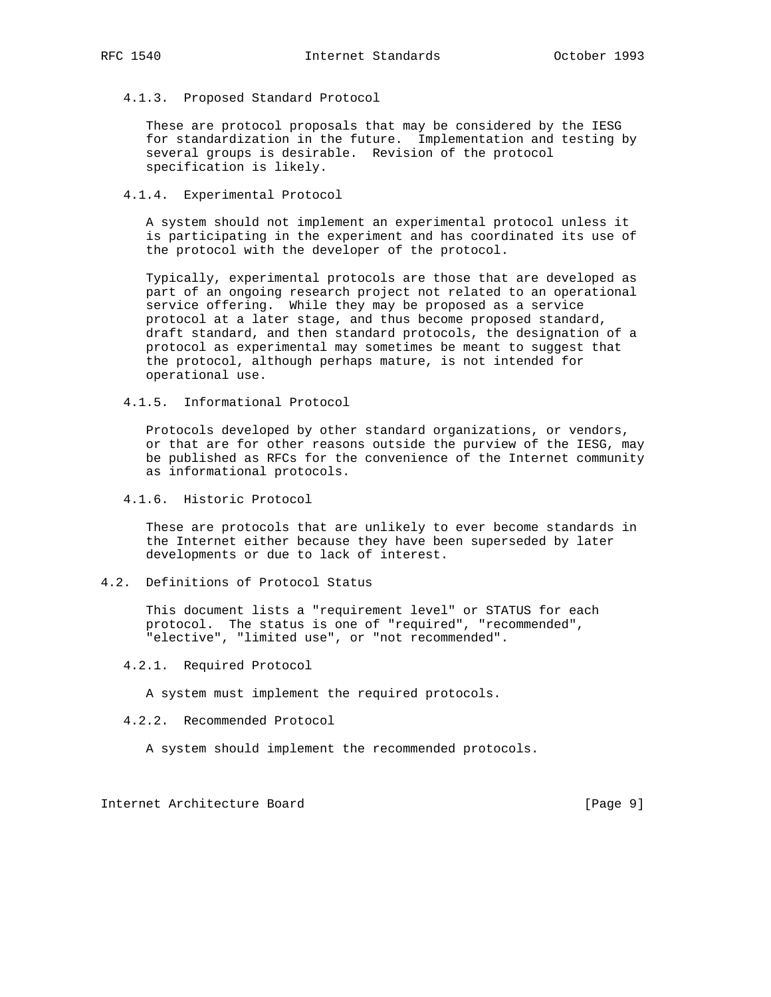4.1.3. Proposed Standard Protocol

 These are protocol proposals that may be considered by the IESG for standardization in the future. Implementation and testing by several groups is desirable. Revision of the protocol specification is likely.

4.1.4. Experimental Protocol

 A system should not implement an experimental protocol unless it is participating in the experiment and has coordinated its use of the protocol with the developer of the protocol.

 Typically, experimental protocols are those that are developed as part of an ongoing research project not related to an operational service offering. While they may be proposed as a service protocol at a later stage, and thus become proposed standard, draft standard, and then standard protocols, the designation of a protocol as experimental may sometimes be meant to suggest that the protocol, although perhaps mature, is not intended for operational use.

4.1.5. Informational Protocol

 Protocols developed by other standard organizations, or vendors, or that are for other reasons outside the purview of the IESG, may be published as RFCs for the convenience of the Internet community as informational protocols.

4.1.6. Historic Protocol

 These are protocols that are unlikely to ever become standards in the Internet either because they have been superseded by later developments or due to lack of interest.

4.2. Definitions of Protocol Status

 This document lists a "requirement level" or STATUS for each protocol. The status is one of "required", "recommended", "elective", "limited use", or "not recommended".

4.2.1. Required Protocol

A system must implement the required protocols.

4.2.2. Recommended Protocol

A system should implement the recommended protocols.

Internet Architecture Board [Page 9]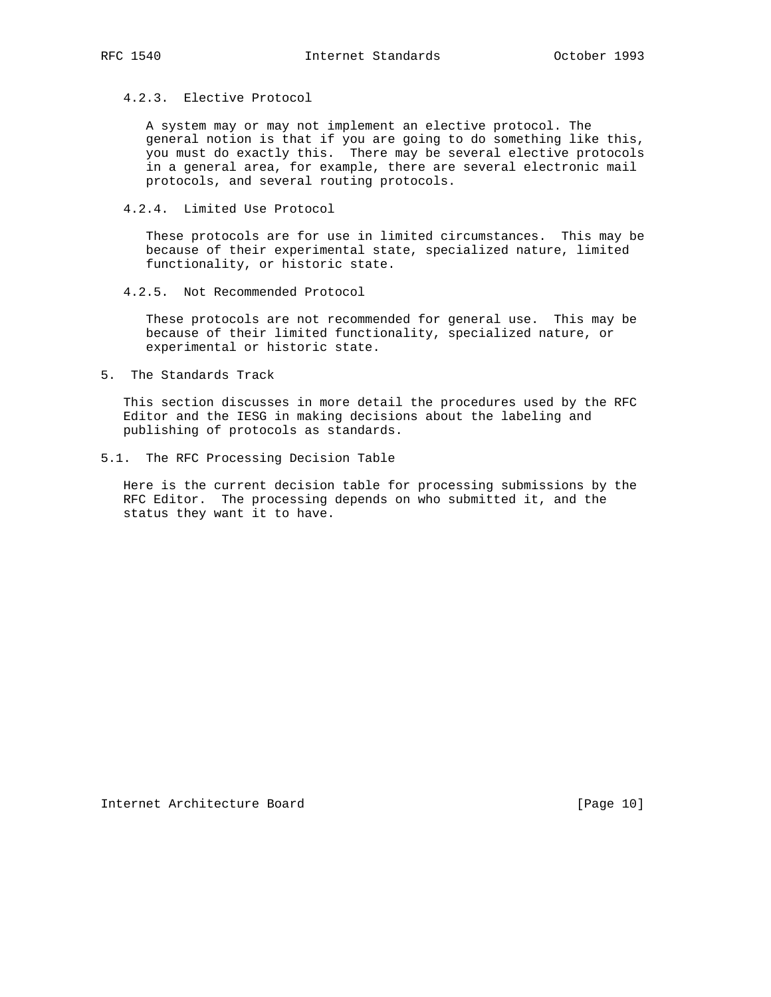### 4.2.3. Elective Protocol

 A system may or may not implement an elective protocol. The general notion is that if you are going to do something like this, you must do exactly this. There may be several elective protocols in a general area, for example, there are several electronic mail protocols, and several routing protocols.

4.2.4. Limited Use Protocol

 These protocols are for use in limited circumstances. This may be because of their experimental state, specialized nature, limited functionality, or historic state.

4.2.5. Not Recommended Protocol

 These protocols are not recommended for general use. This may be because of their limited functionality, specialized nature, or experimental or historic state.

5. The Standards Track

 This section discusses in more detail the procedures used by the RFC Editor and the IESG in making decisions about the labeling and publishing of protocols as standards.

5.1. The RFC Processing Decision Table

 Here is the current decision table for processing submissions by the RFC Editor. The processing depends on who submitted it, and the status they want it to have.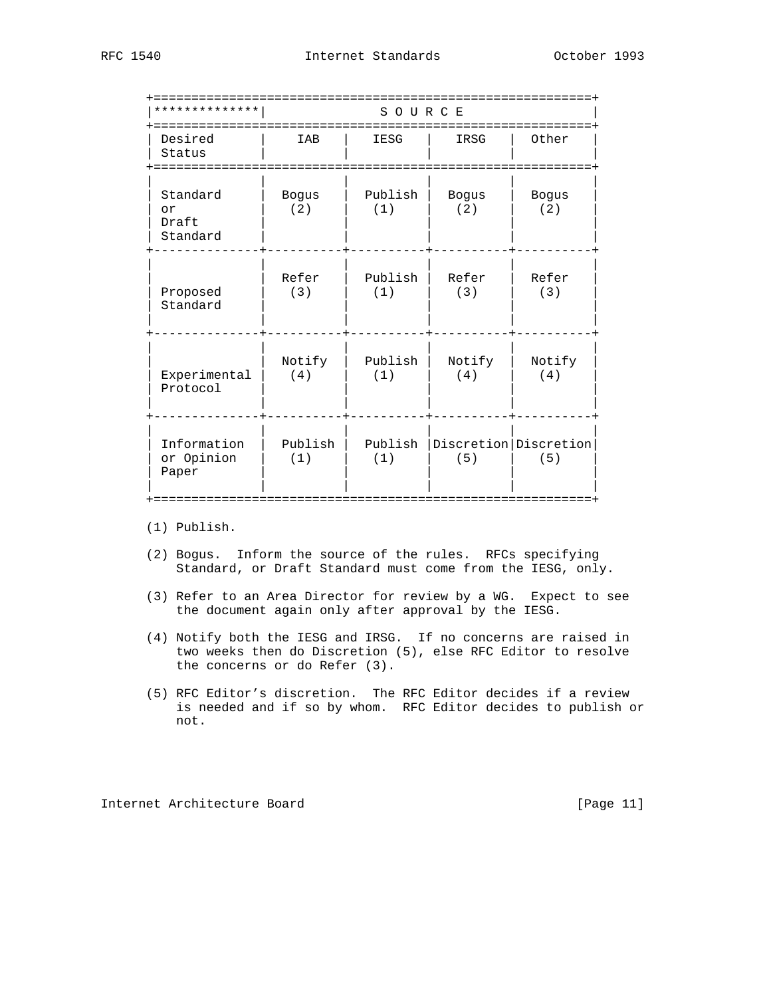| * * * * * * * * * * * *             |                     | SOURCE             |                     |                                  |
|-------------------------------------|---------------------|--------------------|---------------------|----------------------------------|
| Desired<br>Status<br>===========    | IAB                 | ==========<br>IESG | IRSG                | Other                            |
| Standard<br>or<br>Draft<br>Standard | <b>Bogus</b><br>(2) | Publish<br>(1)     | <b>Bogus</b><br>(2) | <b>Bogus</b><br>(2)              |
| Proposed<br>Standard                | Refer<br>(3)        | Publish<br>(1)     | Refer<br>(3)        | Refer<br>(3)                     |
| Experimental<br>Protocol            | Notify<br>(4)       | Publish<br>(1)     | Notify<br>(4)       | Notify<br>(4)                    |
| Information<br>or Opinion<br>Paper  | Publish<br>(1)      | Publish<br>(1)     | (5)                 | Discretion   Discretion  <br>(5) |

(1) Publish.

- (2) Bogus. Inform the source of the rules. RFCs specifying Standard, or Draft Standard must come from the IESG, only.
- (3) Refer to an Area Director for review by a WG. Expect to see the document again only after approval by the IESG.
- (4) Notify both the IESG and IRSG. If no concerns are raised in two weeks then do Discretion (5), else RFC Editor to resolve the concerns or do Refer (3).
- (5) RFC Editor's discretion. The RFC Editor decides if a review is needed and if so by whom. RFC Editor decides to publish or not.

Internet Architecture Board [Page 11]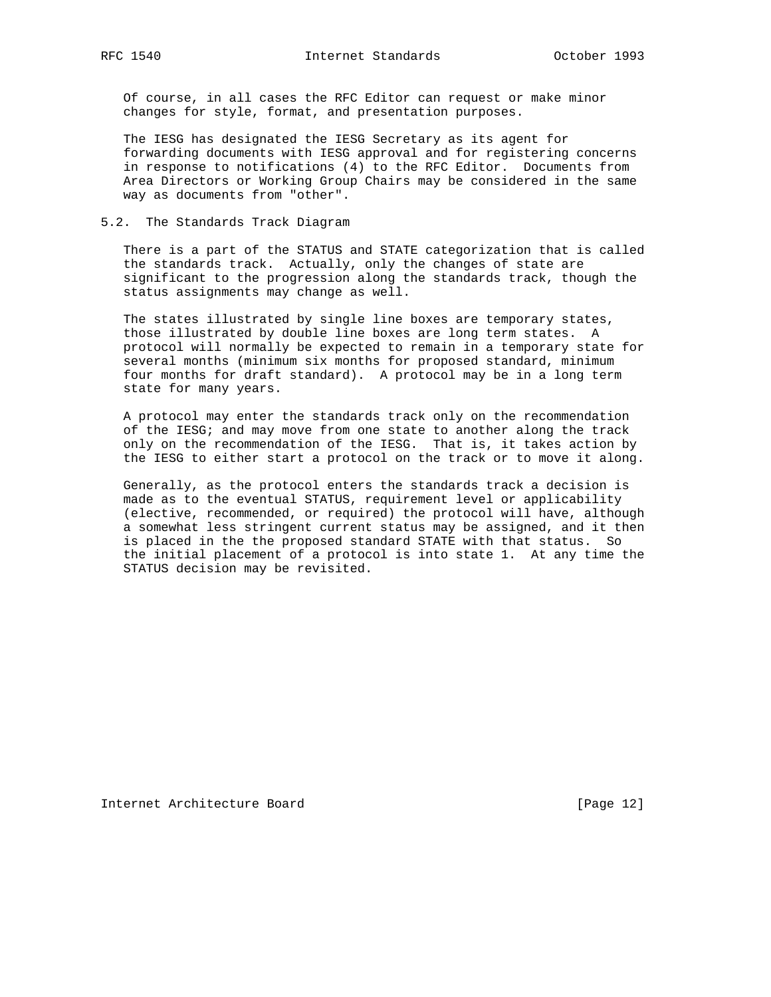Of course, in all cases the RFC Editor can request or make minor changes for style, format, and presentation purposes.

 The IESG has designated the IESG Secretary as its agent for forwarding documents with IESG approval and for registering concerns in response to notifications (4) to the RFC Editor. Documents from Area Directors or Working Group Chairs may be considered in the same way as documents from "other".

### 5.2. The Standards Track Diagram

 There is a part of the STATUS and STATE categorization that is called the standards track. Actually, only the changes of state are significant to the progression along the standards track, though the status assignments may change as well.

 The states illustrated by single line boxes are temporary states, those illustrated by double line boxes are long term states. A protocol will normally be expected to remain in a temporary state for several months (minimum six months for proposed standard, minimum four months for draft standard). A protocol may be in a long term state for many years.

 A protocol may enter the standards track only on the recommendation of the IESG; and may move from one state to another along the track only on the recommendation of the IESG. That is, it takes action by the IESG to either start a protocol on the track or to move it along.

 Generally, as the protocol enters the standards track a decision is made as to the eventual STATUS, requirement level or applicability (elective, recommended, or required) the protocol will have, although a somewhat less stringent current status may be assigned, and it then is placed in the the proposed standard STATE with that status. So the initial placement of a protocol is into state 1. At any time the STATUS decision may be revisited.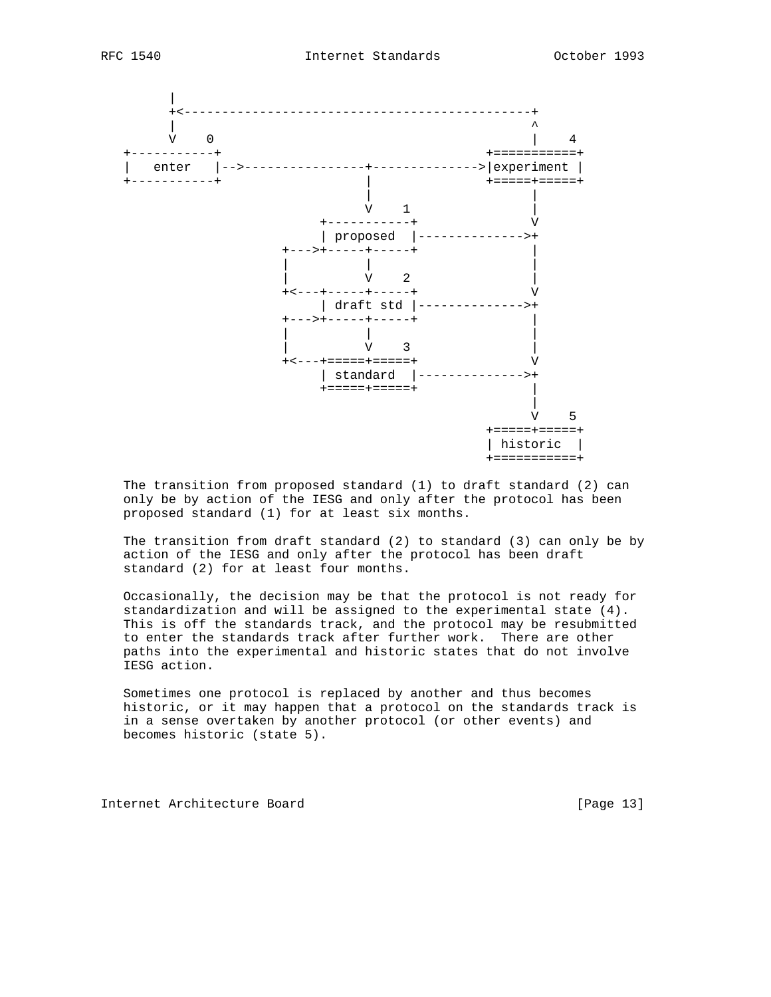



 The transition from proposed standard (1) to draft standard (2) can only be by action of the IESG and only after the protocol has been proposed standard (1) for at least six months.

 The transition from draft standard (2) to standard (3) can only be by action of the IESG and only after the protocol has been draft standard (2) for at least four months.

 Occasionally, the decision may be that the protocol is not ready for standardization and will be assigned to the experimental state (4). This is off the standards track, and the protocol may be resubmitted to enter the standards track after further work. There are other paths into the experimental and historic states that do not involve IESG action.

 Sometimes one protocol is replaced by another and thus becomes historic, or it may happen that a protocol on the standards track is in a sense overtaken by another protocol (or other events) and becomes historic (state 5).

Internet Architecture Board [Page 13]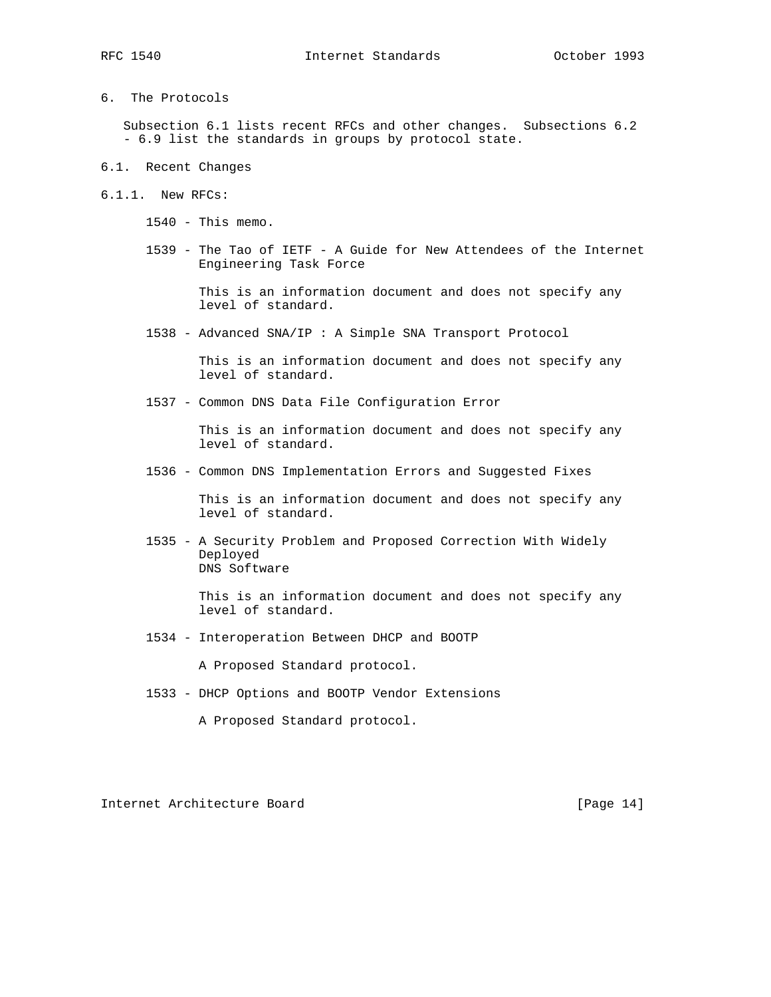- 
- 6. The Protocols

 Subsection 6.1 lists recent RFCs and other changes. Subsections 6.2 - 6.9 list the standards in groups by protocol state.

- 6.1. Recent Changes
- 6.1.1. New RFCs:
	- 1540 This memo.
	- 1539 The Tao of IETF A Guide for New Attendees of the Internet Engineering Task Force

 This is an information document and does not specify any level of standard.

1538 - Advanced SNA/IP : A Simple SNA Transport Protocol

 This is an information document and does not specify any level of standard.

1537 - Common DNS Data File Configuration Error

 This is an information document and does not specify any level of standard.

1536 - Common DNS Implementation Errors and Suggested Fixes

 This is an information document and does not specify any level of standard.

 1535 - A Security Problem and Proposed Correction With Widely Deployed DNS Software

> This is an information document and does not specify any level of standard.

1534 - Interoperation Between DHCP and BOOTP

A Proposed Standard protocol.

1533 - DHCP Options and BOOTP Vendor Extensions

A Proposed Standard protocol.

Internet Architecture Board [Page 14]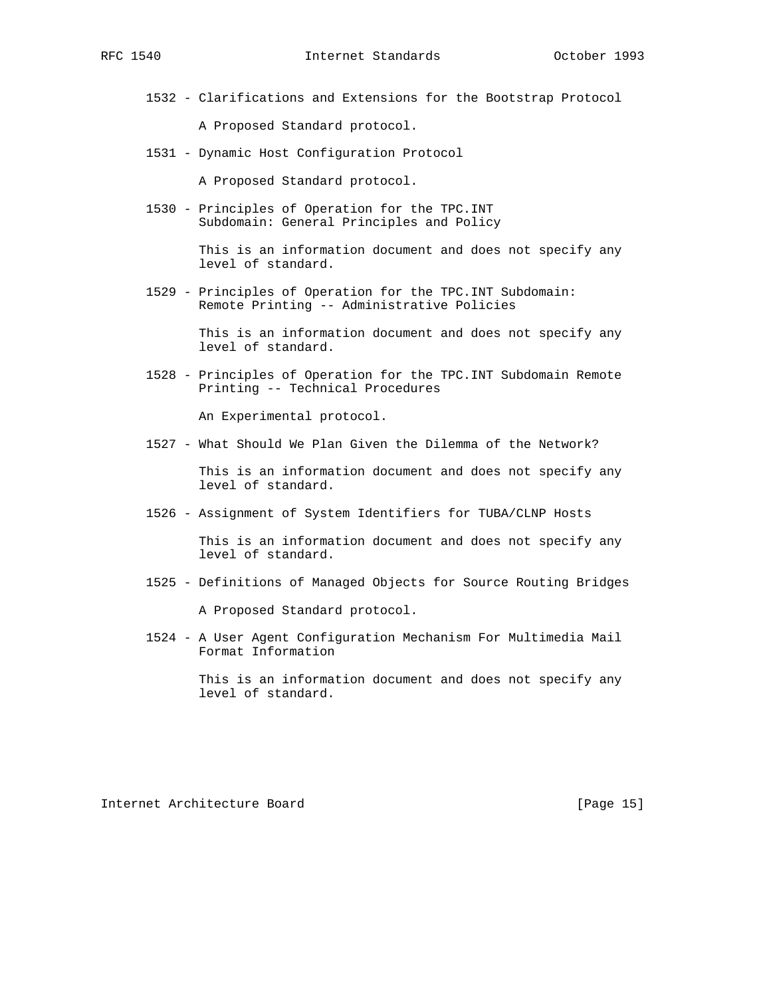1532 - Clarifications and Extensions for the Bootstrap Protocol

A Proposed Standard protocol.

1531 - Dynamic Host Configuration Protocol

A Proposed Standard protocol.

 1530 - Principles of Operation for the TPC.INT Subdomain: General Principles and Policy

> This is an information document and does not specify any level of standard.

 1529 - Principles of Operation for the TPC.INT Subdomain: Remote Printing -- Administrative Policies

> This is an information document and does not specify any level of standard.

 1528 - Principles of Operation for the TPC.INT Subdomain Remote Printing -- Technical Procedures

An Experimental protocol.

1527 - What Should We Plan Given the Dilemma of the Network?

 This is an information document and does not specify any level of standard.

1526 - Assignment of System Identifiers for TUBA/CLNP Hosts

 This is an information document and does not specify any level of standard.

- 1525 Definitions of Managed Objects for Source Routing Bridges A Proposed Standard protocol.
- 1524 A User Agent Configuration Mechanism For Multimedia Mail Format Information

 This is an information document and does not specify any level of standard.

Internet Architecture Board [Page 15]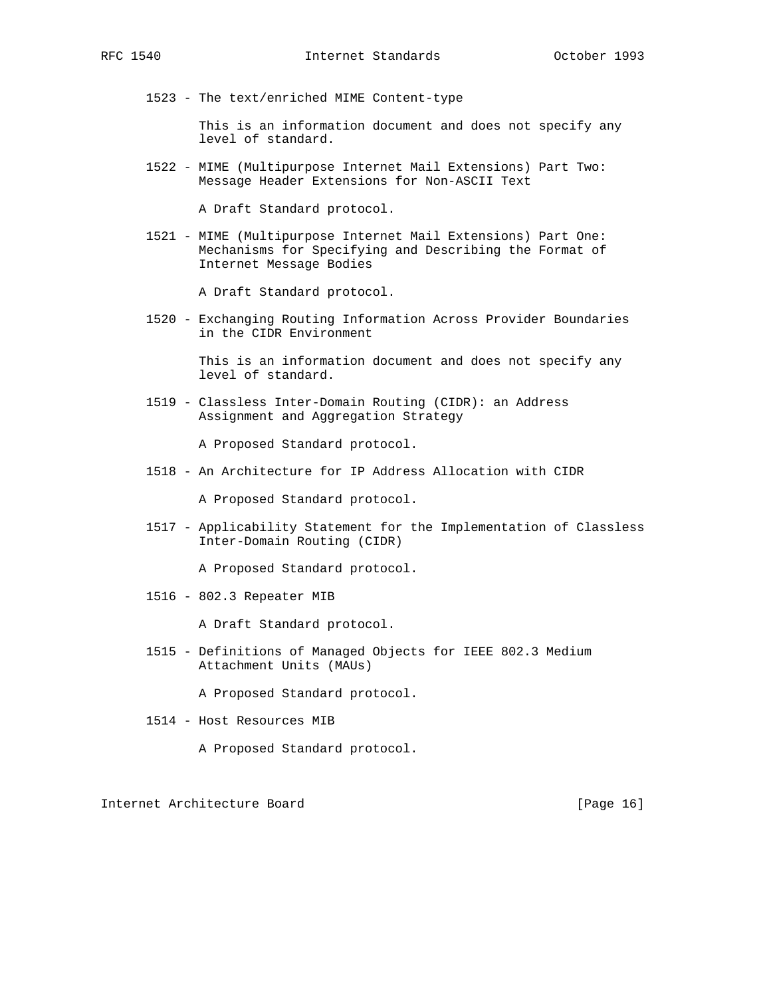1523 - The text/enriched MIME Content-type

 This is an information document and does not specify any level of standard.

 1522 - MIME (Multipurpose Internet Mail Extensions) Part Two: Message Header Extensions for Non-ASCII Text

A Draft Standard protocol.

 1521 - MIME (Multipurpose Internet Mail Extensions) Part One: Mechanisms for Specifying and Describing the Format of Internet Message Bodies

A Draft Standard protocol.

 1520 - Exchanging Routing Information Across Provider Boundaries in the CIDR Environment

> This is an information document and does not specify any level of standard.

 1519 - Classless Inter-Domain Routing (CIDR): an Address Assignment and Aggregation Strategy

A Proposed Standard protocol.

1518 - An Architecture for IP Address Allocation with CIDR

A Proposed Standard protocol.

 1517 - Applicability Statement for the Implementation of Classless Inter-Domain Routing (CIDR)

A Proposed Standard protocol.

1516 - 802.3 Repeater MIB

A Draft Standard protocol.

 1515 - Definitions of Managed Objects for IEEE 802.3 Medium Attachment Units (MAUs)

A Proposed Standard protocol.

- 1514 Host Resources MIB
	- A Proposed Standard protocol.

Internet Architecture Board [Page 16]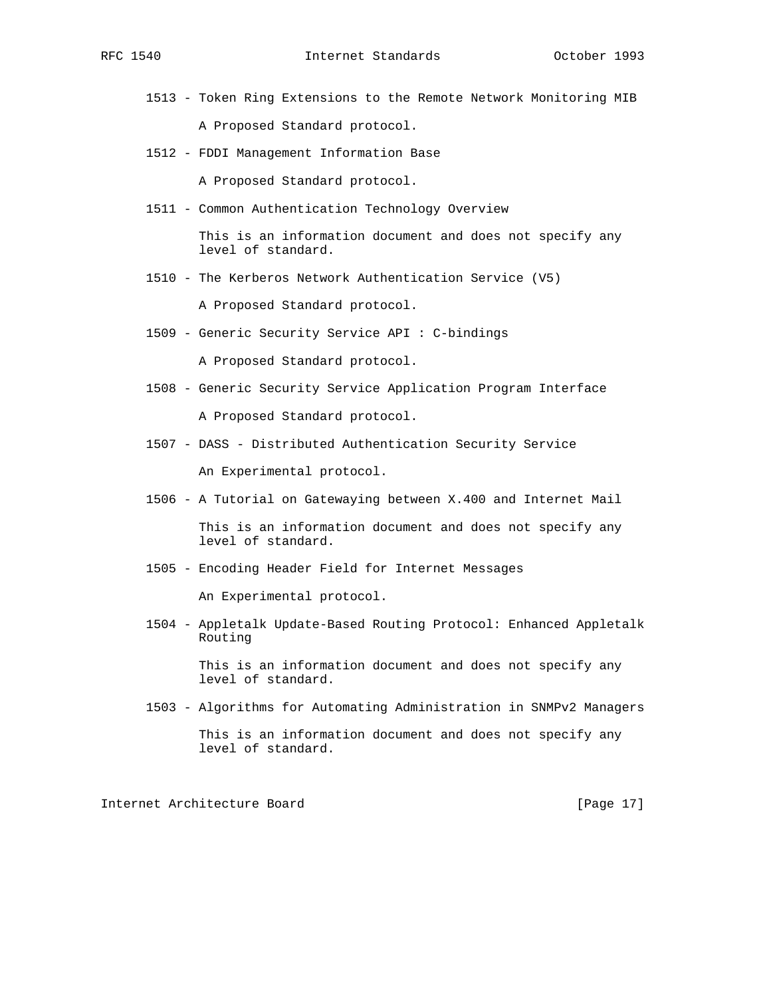- 1513 Token Ring Extensions to the Remote Network Monitoring MIB A Proposed Standard protocol.
- 1512 FDDI Management Information Base

A Proposed Standard protocol.

1511 - Common Authentication Technology Overview

 This is an information document and does not specify any level of standard.

1510 - The Kerberos Network Authentication Service (V5)

A Proposed Standard protocol.

1509 - Generic Security Service API : C-bindings

A Proposed Standard protocol.

- 1508 Generic Security Service Application Program Interface A Proposed Standard protocol.
- 1507 DASS Distributed Authentication Security Service An Experimental protocol.
- 1506 A Tutorial on Gatewaying between X.400 and Internet Mail

 This is an information document and does not specify any level of standard.

1505 - Encoding Header Field for Internet Messages

An Experimental protocol.

 1504 - Appletalk Update-Based Routing Protocol: Enhanced Appletalk Routing

> This is an information document and does not specify any level of standard.

1503 - Algorithms for Automating Administration in SNMPv2 Managers

Internet Architecture Board [Page 17]

This is an information document and does not specify any level of standard.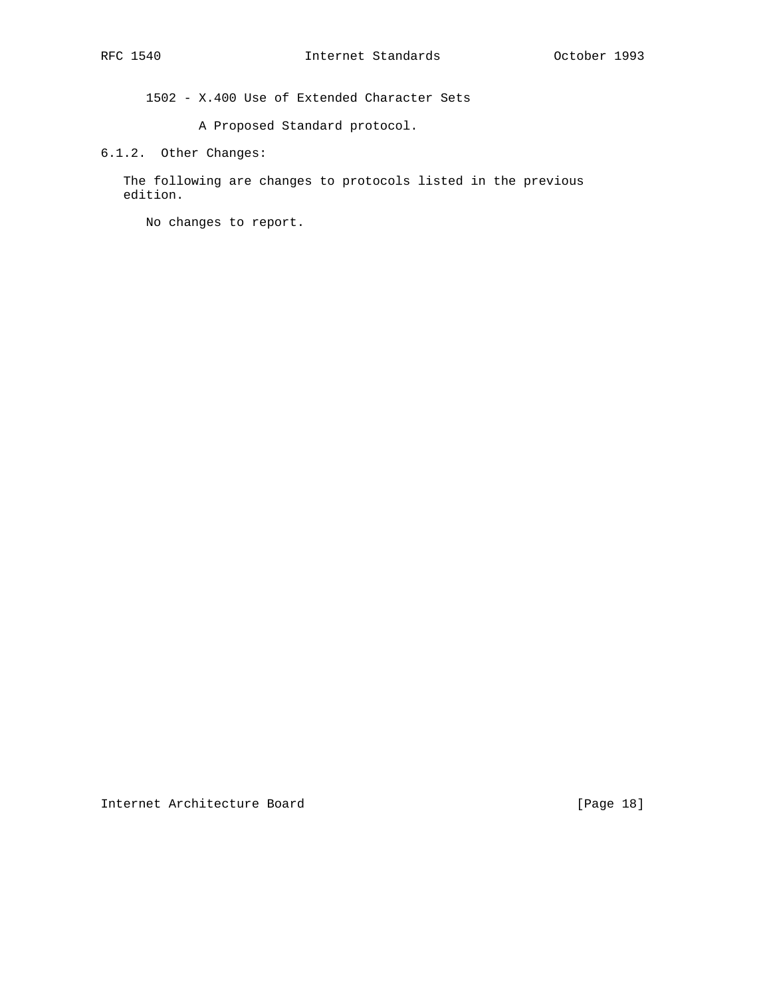1502 - X.400 Use of Extended Character Sets

A Proposed Standard protocol.

6.1.2. Other Changes:

 The following are changes to protocols listed in the previous edition.

No changes to report.

Internet Architecture Board [Page 18]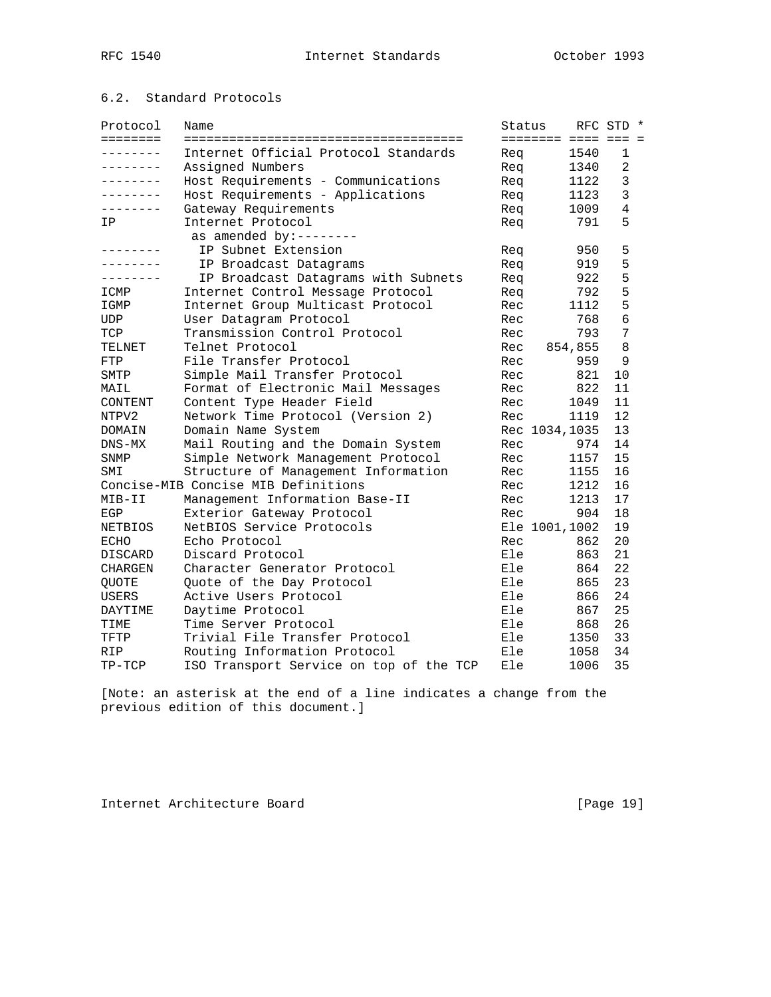# 6.2. Standard Protocols

| Protocol        | Name                                    | Status |                |                     | RFC STD *      |  |
|-----------------|-----------------------------------------|--------|----------------|---------------------|----------------|--|
| ========        |                                         |        |                | ======== ==== === = |                |  |
| .               | Internet Official Protocol Standards    | Rea    |                | 1540                | 1              |  |
| . – – – – – – – | Assigned Numbers                        | Req    |                | 1340                | 2              |  |
| . <u>.</u> .    | Host Requirements - Communications      | Req    |                | 1122                | 3              |  |
| ________        | Host Requirements - Applications        | Req    |                | 1123                | $\overline{3}$ |  |
| --------        | Gateway Requirements                    | Req    |                | 1009                | $\overline{4}$ |  |
| IP              | Internet Protocol                       | Req    |                | 791                 | 5              |  |
|                 | as amended by:--------                  |        |                |                     |                |  |
|                 | IP Subnet Extension                     | Req    |                | 950                 | 5              |  |
|                 | IP Broadcast Datagrams                  | Req    |                | 919                 | 5              |  |
| --------        | IP Broadcast Datagrams with Subnets     | Req    |                | 922                 | 5              |  |
| ICMP            | Internet Control Message Protocol       | Req    |                | 792                 | 5              |  |
| IGMP            | Internet Group Multicast Protocol       | Rec    |                | 1112                | 5              |  |
| UDP             | User Datagram Protocol                  | Rec    |                | 768                 | 6              |  |
| TCP             | Transmission Control Protocol           | Rec    |                | 793                 | 7              |  |
| TELNET          | Telnet Protocol                         | Rec    |                | 854,855             | 8              |  |
| FTP             | File Transfer Protocol                  | Rec    |                | 959                 | 9              |  |
| SMTP            | Simple Mail Transfer Protocol           | Rec    |                | 821                 | 10             |  |
| MAIL            | Format of Electronic Mail Messages      | Rec    |                | 822                 | 11             |  |
| CONTENT         | Content Type Header Field               | Rec    |                | 1049                | 11             |  |
| NTPV2           | Network Time Protocol (Version 2)       | Rec    |                | 1119                | 12             |  |
| DOMAIN          | Domain Name System                      |        | Rec 1034, 1035 |                     | 13             |  |
| $DNS-MX$        | Mail Routing and the Domain System      | Rec    |                | 974                 | 14             |  |
| SNMP            | Simple Network Management Protocol      | Rec    |                | 1157                | 15             |  |
| SMI             | Structure of Management Information     | Rec    |                | 1155                | 16             |  |
|                 | Concise-MIB Concise MIB Definitions     | Rec    |                | 1212                | 16             |  |
| MIB-II          | Management Information Base-II          | Rec    |                | 1213                | 17             |  |
| EGP             | Exterior Gateway Protocol               | Rec    |                | 904                 | 18             |  |
| NETBIOS         | NetBIOS Service Protocols               |        | Ele 1001,1002  |                     | 19             |  |
| <b>ECHO</b>     | Echo Protocol                           | Rec    |                | 862                 | 20             |  |
| DISCARD         | Discard Protocol                        | Ele    |                | 863                 | 21             |  |
| <b>CHARGEN</b>  | Character Generator Protocol            | Ele    |                | 864                 | 22             |  |
| QUOTE           | Quote of the Day Protocol               | Ele    |                | 865                 | 23             |  |
| USERS           | Active Users Protocol                   | Ele    |                | 866                 | 24             |  |
| DAYTIME         | Daytime Protocol                        | Ele    |                | 867                 | 25             |  |
| TIME            | Time Server Protocol                    | Ele    |                | 868                 | 26             |  |
| TFTP            | Trivial File Transfer Protocol          | Ele    |                | 1350                | 33             |  |
| RIP             | Routing Information Protocol            | Ele    |                | 1058                | 34             |  |
| TP-TCP          | ISO Transport Service on top of the TCP | Ele    |                | 1006                | 35             |  |

[Note: an asterisk at the end of a line indicates a change from the previous edition of this document.]

Internet Architecture Board [Page 19]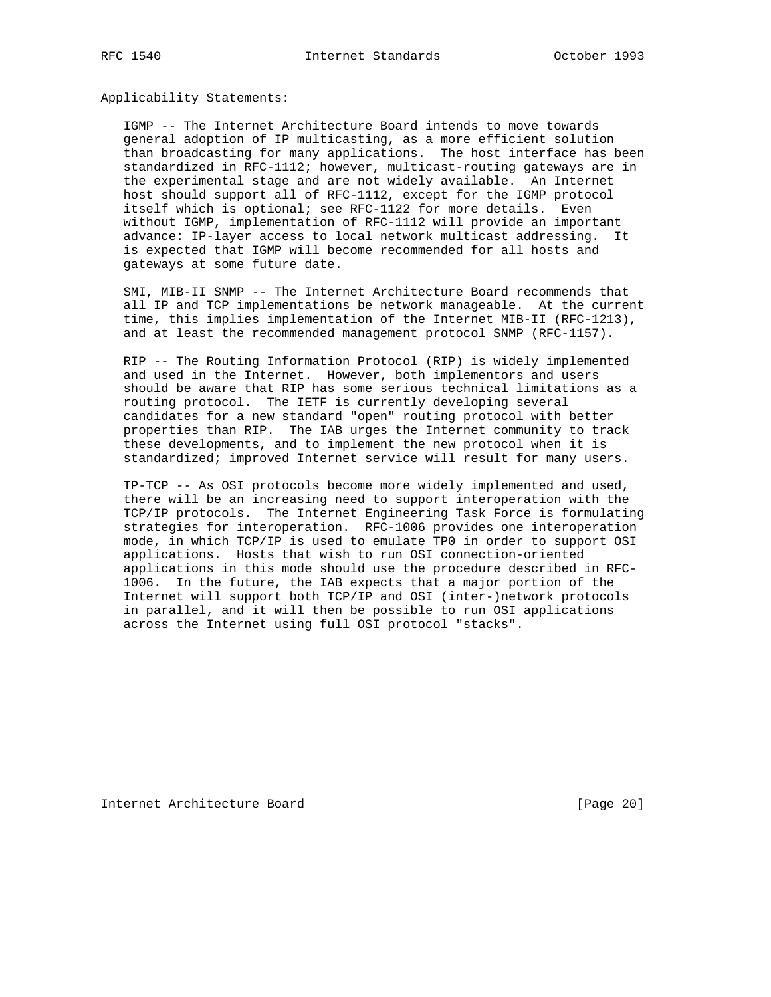Applicability Statements:

 IGMP -- The Internet Architecture Board intends to move towards general adoption of IP multicasting, as a more efficient solution than broadcasting for many applications. The host interface has been standardized in RFC-1112; however, multicast-routing gateways are in the experimental stage and are not widely available. An Internet host should support all of RFC-1112, except for the IGMP protocol itself which is optional; see RFC-1122 for more details. Even without IGMP, implementation of RFC-1112 will provide an important advance: IP-layer access to local network multicast addressing. It is expected that IGMP will become recommended for all hosts and gateways at some future date.

 SMI, MIB-II SNMP -- The Internet Architecture Board recommends that all IP and TCP implementations be network manageable. At the current time, this implies implementation of the Internet MIB-II (RFC-1213), and at least the recommended management protocol SNMP (RFC-1157).

 RIP -- The Routing Information Protocol (RIP) is widely implemented and used in the Internet. However, both implementors and users should be aware that RIP has some serious technical limitations as a routing protocol. The IETF is currently developing several candidates for a new standard "open" routing protocol with better properties than RIP. The IAB urges the Internet community to track these developments, and to implement the new protocol when it is standardized; improved Internet service will result for many users.

 TP-TCP -- As OSI protocols become more widely implemented and used, there will be an increasing need to support interoperation with the TCP/IP protocols. The Internet Engineering Task Force is formulating strategies for interoperation. RFC-1006 provides one interoperation mode, in which TCP/IP is used to emulate TP0 in order to support OSI applications. Hosts that wish to run OSI connection-oriented applications in this mode should use the procedure described in RFC- 1006. In the future, the IAB expects that a major portion of the Internet will support both TCP/IP and OSI (inter-)network protocols in parallel, and it will then be possible to run OSI applications across the Internet using full OSI protocol "stacks".

Internet Architecture Board [Page 20]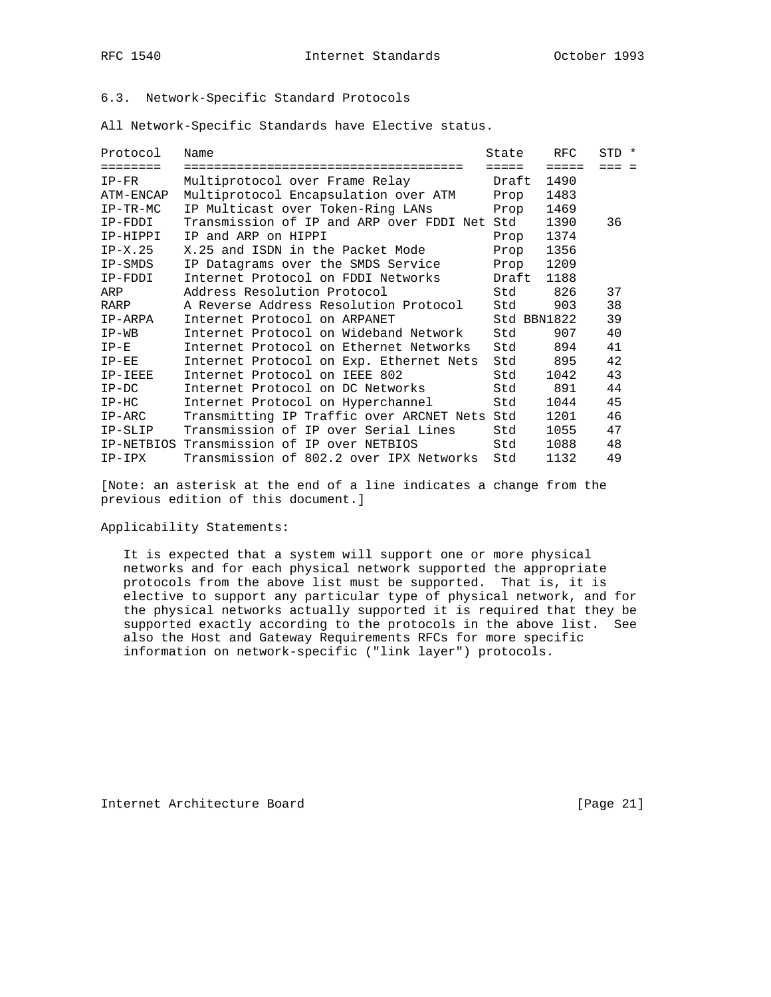## 6.3. Network-Specific Standard Protocols

All Network-Specific Standards have Elective status.

| Protocol   | Name                                         | State       | RFC             | STD * |
|------------|----------------------------------------------|-------------|-----------------|-------|
| ========   | =================================            | =====       | $=$ $=$ $=$ $=$ | === = |
| $IP-FR$    | Multiprotocol over Frame Relay               | Draft       | 1490            |       |
| ATM-ENCAP  | Multiprotocol Encapsulation over ATM         | Prop        | 1483            |       |
| $IP-TR-MC$ | IP Multicast over Token-Ring LANs            | Prop        | 1469            |       |
| IP-FDDI    | Transmission of IP and ARP over FDDI Net Std |             | 1390            | 36    |
| IP-HIPPI   | IP and ARP on HIPPI                          | Prop        | 1374            |       |
| $IP-X.25$  | X.25 and ISDN in the Packet Mode             | Prop        | 1356            |       |
| IP-SMDS    | IP Datagrams over the SMDS Service           | Prop        | 1209            |       |
| IP-FDDI    | Internet Protocol on FDDI Networks           | Draft       | 1188            |       |
| ARP        | Address Resolution Protocol                  | Std         | 826             | 37    |
| RARP       | A Reverse Address Resolution Protocol        | Std         | 903             | 38    |
| IP-ARPA    | Internet Protocol on ARPANET                 | Std BBN1822 |                 | 39    |
| $IP-WB$    | Internet Protocol on Wideband Network        | Std         | 907             | 40    |
| $IP-E$     | Internet Protocol on Ethernet Networks       | Std         | 894             | 41    |
| $IP-EE$    | Internet Protocol on Exp. Ethernet Nets      | Std         | 895             | 42    |
| IP-IEEE    | Internet Protocol on IEEE 802                | Std         | 1042            | 43    |
| $IP-DC$    | Internet Protocol on DC Networks             | Std         | 891             | 44    |
| $IP-HC$    | Internet Protocol on Hyperchannel            | Std         | 1044            | 45    |
| $IP-ARC$   | Transmitting IP Traffic over ARCNET Nets Std |             | 1201            | 46    |
| IP-SLIP    | Transmission of IP over Serial Lines         | Std         | 1055            | 47    |
| IP-NETBIOS | Transmission of IP over NETBIOS              | Std         | 1088            | 48    |
| IP-IPX     | Transmission of 802.2 over IPX Networks      | Std         | 1132            | 49    |

[Note: an asterisk at the end of a line indicates a change from the previous edition of this document.]

Applicability Statements:

 It is expected that a system will support one or more physical networks and for each physical network supported the appropriate protocols from the above list must be supported. That is, it is elective to support any particular type of physical network, and for the physical networks actually supported it is required that they be supported exactly according to the protocols in the above list. See also the Host and Gateway Requirements RFCs for more specific information on network-specific ("link layer") protocols.

Internet Architecture Board [Page 21]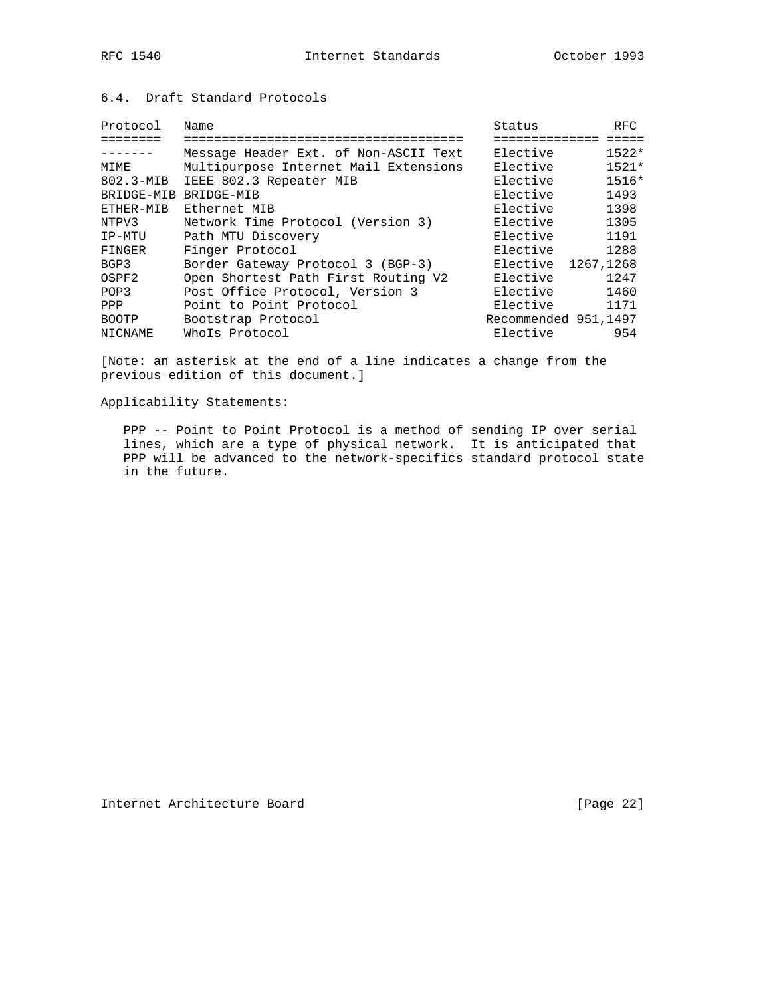## 6.4. Draft Standard Protocols

| Protocol          | Name                                  | Status               | RFC.    |
|-------------------|---------------------------------------|----------------------|---------|
|                   |                                       |                      |         |
| $- - - - - - - -$ | Message Header Ext. of Non-ASCII Text | Elective             | $1522*$ |
| MIME              | Multipurpose Internet Mail Extensions | Elective             | $1521*$ |
| 802.3-MIB         | IEEE 802.3 Repeater MIB               | Elective             | $1516*$ |
| BRIDGE-MIB        | BRIDGE-MIB                            | Elective             | 1493    |
| ETHER-MIB         | Ethernet MIB                          | Elective             | 1398    |
| NTPV3             | Network Time Protocol (Version 3)     | Elective             | 1305    |
| IP-MTU            | Path MTU Discovery                    | Elective             | 1191    |
| FINGER            | Finger Protocol                       | Elective             | 1288    |
| BGP3              | Border Gateway Protocol 3 (BGP-3)     | Elective 1267, 1268  |         |
| OSPF2             | Open Shortest Path First Routing V2   | Elective             | 1247    |
| POP3              | Post Office Protocol, Version 3       | Elective             | 1460    |
| PPP               | Point to Point Protocol               | Elective             | 1171    |
| <b>BOOTP</b>      | Bootstrap Protocol                    | Recommended 951,1497 |         |
| NICNAME           | Whols Protocol                        | Elective             | 954     |

[Note: an asterisk at the end of a line indicates a change from the previous edition of this document.]

Applicability Statements:

 PPP -- Point to Point Protocol is a method of sending IP over serial lines, which are a type of physical network. It is anticipated that PPP will be advanced to the network-specifics standard protocol state in the future.

Internet Architecture Board [Page 22]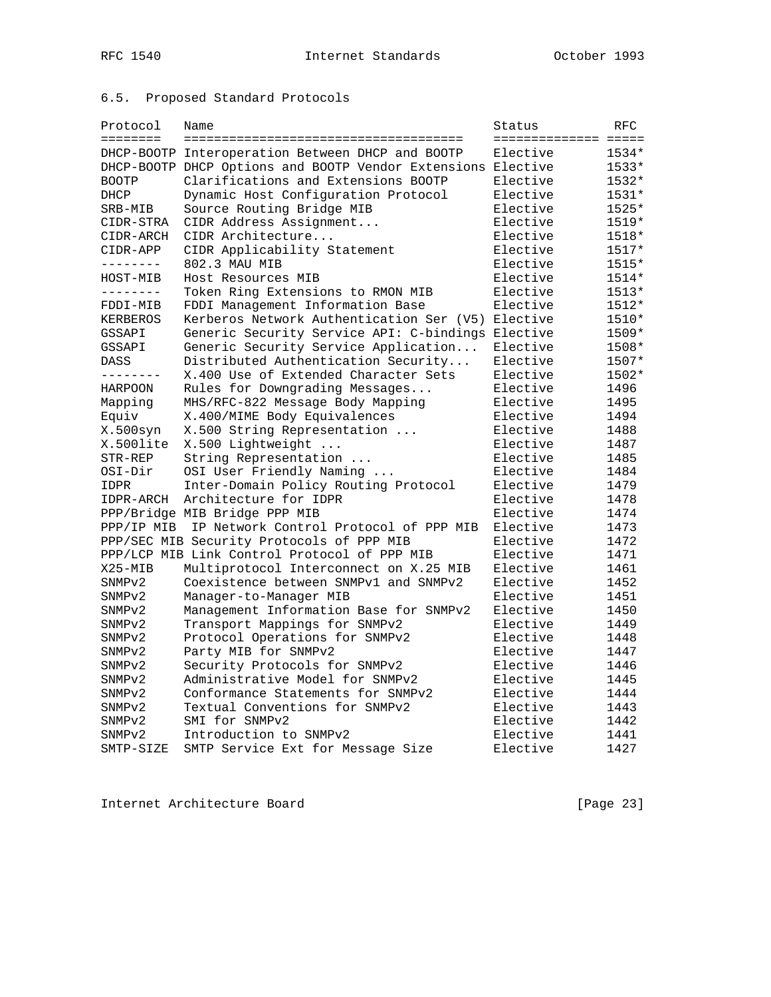# 6.5. Proposed Standard Protocols

| <b>EEEEEEEE</b><br>====================<br>DHCP-BOOTP Interoperation Between DHCP and BOOTP<br>1534*<br>Elective<br>DHCP-BOOTP DHCP Options and BOOTP Vendor Extensions Elective<br>1533* |  |
|-------------------------------------------------------------------------------------------------------------------------------------------------------------------------------------------|--|
|                                                                                                                                                                                           |  |
|                                                                                                                                                                                           |  |
|                                                                                                                                                                                           |  |
| 1532*<br><b>BOOTP</b><br>Clarifications and Extensions BOOTP<br>Elective                                                                                                                  |  |
| Elective<br>Dynamic Host Configuration Protocol<br>$1531*$<br>DHCP                                                                                                                        |  |
| 1525*<br>Source Routing Bridge MIB<br>Elective<br>SRB-MIB                                                                                                                                 |  |
| CIDR Address Assignment<br>Elective<br>1519*<br>CIDR-STRA                                                                                                                                 |  |
| CIDR Architecture<br>Elective<br>1518*<br>CIDR-ARCH                                                                                                                                       |  |
| 1517*<br>CIDR Applicability Statement<br>Elective<br>CIDR-APP                                                                                                                             |  |
| 802.3 MAU MIB<br>Elective<br>$1515*$<br>--------                                                                                                                                          |  |
| Elective<br>1514*<br>Host Resources MIB<br>HOST-MIB                                                                                                                                       |  |
| --------<br>Token Ring Extensions to RMON MIB<br>Elective<br>1513*                                                                                                                        |  |
| FDDI Management Information Base<br>Elective<br>1512*<br>FDDI-MIB                                                                                                                         |  |
| Kerberos Network Authentication Ser (V5)<br>1510*<br>Elective<br>KERBEROS                                                                                                                 |  |
| Generic Security Service API: C-bindings<br>Elective<br>1509*<br>GSSAPI                                                                                                                   |  |
| GSSAPI<br>Generic Security Service Application<br>Elective<br>1508*                                                                                                                       |  |
| Distributed Authentication Security<br>Elective<br>$1507*$<br>DASS                                                                                                                        |  |
| X.400 Use of Extended Character Sets<br>Elective<br>1502*<br>--------                                                                                                                     |  |
| Rules for Downgrading Messages<br>Elective<br>1496<br>HARPOON                                                                                                                             |  |
| MHS/RFC-822 Message Body Mapping<br>Elective<br>1495<br>Mapping                                                                                                                           |  |
| Equiv<br>X.400/MIME Body Equivalences<br>Elective<br>1494                                                                                                                                 |  |
| X.500syn<br>X.500 String Representation<br>Elective<br>1488                                                                                                                               |  |
| X.500 Lightweight<br>Elective<br>X.500lite<br>1487                                                                                                                                        |  |
| Elective<br>STR-REP<br>String Representation<br>1485                                                                                                                                      |  |
| OSI User Friendly Naming<br>Elective<br>1484<br>OSI-Dir                                                                                                                                   |  |
| <b>IDPR</b><br>Inter-Domain Policy Routing Protocol<br>Elective<br>1479                                                                                                                   |  |
| Architecture for IDPR<br>Elective<br>1478<br>IDPR-ARCH                                                                                                                                    |  |
| PPP/Bridge MIB Bridge PPP MIB<br>Elective<br>1474                                                                                                                                         |  |
| IP Network Control Protocol of PPP MIB<br>Elective<br>1473<br>PPP/IP MIB                                                                                                                  |  |
| PPP/SEC MIB Security Protocols of PPP MIB<br>Elective<br>1472                                                                                                                             |  |
| PPP/LCP MIB Link Control Protocol of PPP MIB<br>Elective<br>1471                                                                                                                          |  |
| $X25 - MIB$<br>Multiprotocol Interconnect on X.25 MIB<br>Elective<br>1461                                                                                                                 |  |
| Coexistence between SNMPv1 and SNMPv2<br>Elective<br>SNMP <sub>v2</sub><br>1452                                                                                                           |  |
| Elective<br>1451<br>Manager-to-Manager MIB<br>SNMP <sub>v2</sub>                                                                                                                          |  |
| Management Information Base for SNMPv2<br>Elective<br>1450<br>SNMP <sub>v2</sub>                                                                                                          |  |
| Elective<br>Transport Mappings for SNMPv2<br>1449<br>SNMP <sub>v2</sub>                                                                                                                   |  |
| Elective<br>SNMP <sub>v2</sub><br>Protocol Operations for SNMPv2<br>1448                                                                                                                  |  |
| Party MIB for SNMPv2<br>Elective<br>1447<br>SNMP <sub>v2</sub>                                                                                                                            |  |
| Security Protocols for SNMPv2<br>Elective<br>1446<br>SNMP <sub>v2</sub>                                                                                                                   |  |
| Administrative Model for SNMPv2<br>Elective<br>1445<br>SNMP <sub>v2</sub>                                                                                                                 |  |
| Conformance Statements for SNMPv2<br>Elective<br>1444<br>SNMP <sub>v2</sub>                                                                                                               |  |
| Textual Conventions for SNMPv2<br>Elective<br>1443<br>SNMP <sub>v2</sub>                                                                                                                  |  |
| SMI for SNMPv2<br>Elective<br>SNMP <sub>v2</sub><br>1442                                                                                                                                  |  |
| Introduction to SNMPv2<br>Elective<br>SNMP <sub>v2</sub><br>1441                                                                                                                          |  |
| SMTP Service Ext for Message Size<br>Elective<br>SMTP-SIZE<br>1427                                                                                                                        |  |

Internet Architecture Board [Page 23]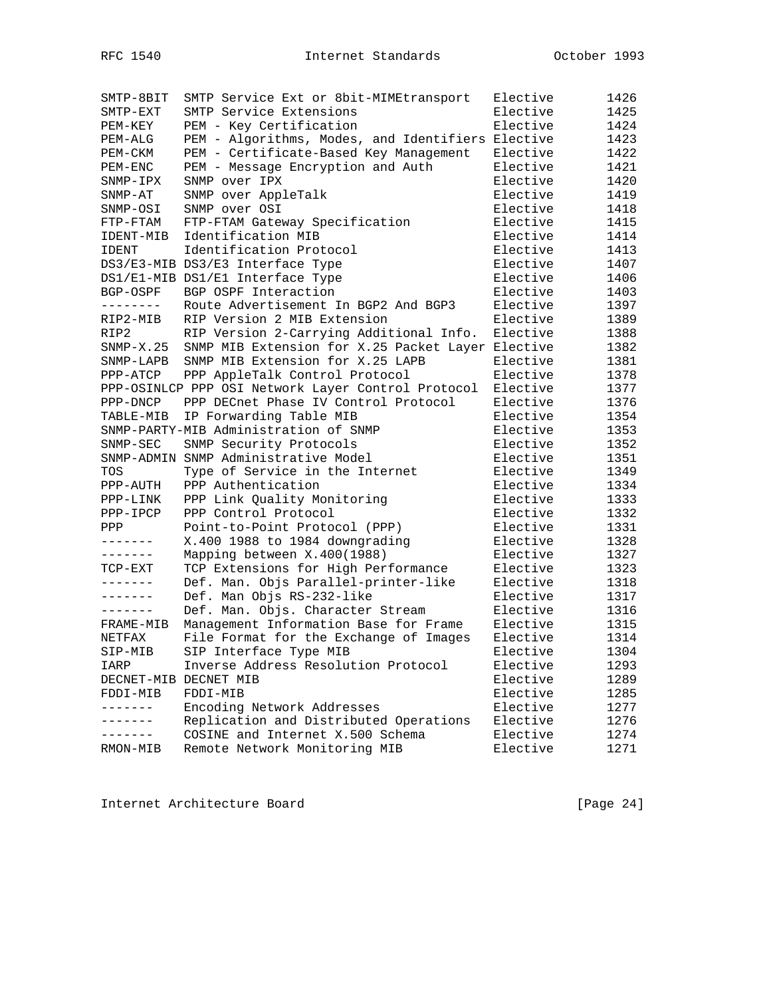| SMTP-8BIT    | SMTP Service Ext or 8bit-MIMEtransport             | Elective | 1426 |
|--------------|----------------------------------------------------|----------|------|
| $SMTP-EXT$   | SMTP Service Extensions                            | Elective | 1425 |
| PEM-KEY      | PEM - Key Certification                            | Elective | 1424 |
| PEM-ALG      | PEM - Algorithms, Modes, and Identifiers Elective  |          | 1423 |
| PEM-CKM      | PEM - Certificate-Based Key Management             | Elective | 1422 |
| PEM-ENC      | PEM - Message Encryption and Auth                  | Elective | 1421 |
| SNMP-IPX     | SNMP over IPX                                      | Elective | 1420 |
| $SNNP-AT$    | SNMP over AppleTalk                                | Elective | 1419 |
| SNMP-OSI     | SNMP over OSI                                      | Elective | 1418 |
| FTP-FTAM     | FTP-FTAM Gateway Specification                     | Elective | 1415 |
| IDENT-MIB    | Identification MIB                                 | Elective | 1414 |
| <b>IDENT</b> | Identification Protocol                            | Elective | 1413 |
|              | DS3/E3-MIB DS3/E3 Interface Type                   | Elective | 1407 |
|              | DS1/E1-MIB DS1/E1 Interface Type                   | Elective | 1406 |
| BGP-OSPF     | BGP OSPF Interaction                               | Elective | 1403 |
| ---------    | Route Advertisement In BGP2 And BGP3               | Elective | 1397 |
| RIP2-MIB     | RIP Version 2 MIB Extension                        | Elective | 1389 |
| RIP2         | RIP Version 2-Carrying Additional Info.            | Elective | 1388 |
| $SNMP-X.25$  | SNMP MIB Extension for X.25 Packet Layer Elective  |          | 1382 |
| SNMP-LAPB    | SNMP MIB Extension for X.25 LAPB                   | Elective | 1381 |
| $PPP-ATCP$   | PPP AppleTalk Control Protocol                     | Elective | 1378 |
|              | PPP-OSINLCP PPP OSI Network Layer Control Protocol | Elective | 1377 |
| PPP-DNCP     | PPP DECnet Phase IV Control Protocol               | Elective | 1376 |
| TABLE-MIB    | IP Forwarding Table MIB                            | Elective | 1354 |
|              | SNMP-PARTY-MIB Administration of SNMP              | Elective | 1353 |
| SNMP-SEC     | SNMP Security Protocols                            | Elective | 1352 |
|              | SNMP-ADMIN SNMP Administrative Model               | Elective | 1351 |
| TOS          | Type of Service in the Internet                    | Elective | 1349 |
| PPP-AUTH     | PPP Authentication                                 | Elective | 1334 |
| PPP-LINK     | PPP Link Quality Monitoring                        | Elective | 1333 |
| PPP-IPCP     | PPP Control Protocol                               | Elective | 1332 |
| PPP          | Point-to-Point Protocol (PPP)                      | Elective | 1331 |
| -------      | X.400 1988 to 1984 downgrading                     | Elective | 1328 |
|              | Mapping between X.400(1988)                        | Elective | 1327 |
| TCP-EXT      | TCP Extensions for High Performance                | Elective | 1323 |
| -------      | Def. Man. Objs Parallel-printer-like               | Elective | 1318 |
| -------      | Def. Man Objs RS-232-like                          | Elective | 1317 |
| -------      | Def. Man. Objs. Character Stream                   | Elective | 1316 |
| FRAME-MIB    | Management Information Base for Frame              | Elective | 1315 |
| NETFAX       | File Format for the Exchange of Images             | Elective | 1314 |
| SIP-MIB      | SIP Interface Type MIB                             | Elective | 1304 |
| IARP         | Inverse Address Resolution Protocol                | Elective | 1293 |
|              | DECNET-MIB DECNET MIB                              | Elective | 1289 |
| FDDI-MIB     | FDDI-MIB                                           | Elective | 1285 |
| ------       | Encoding Network Addresses                         | Elective | 1277 |
| -------      | Replication and Distributed Operations             | Elective | 1276 |
|              | COSINE and Internet X.500 Schema                   | Elective | 1274 |
| RMON-MIB     | Remote Network Monitoring MIB                      | Elective | 1271 |

Internet Architecture Board [Page 24]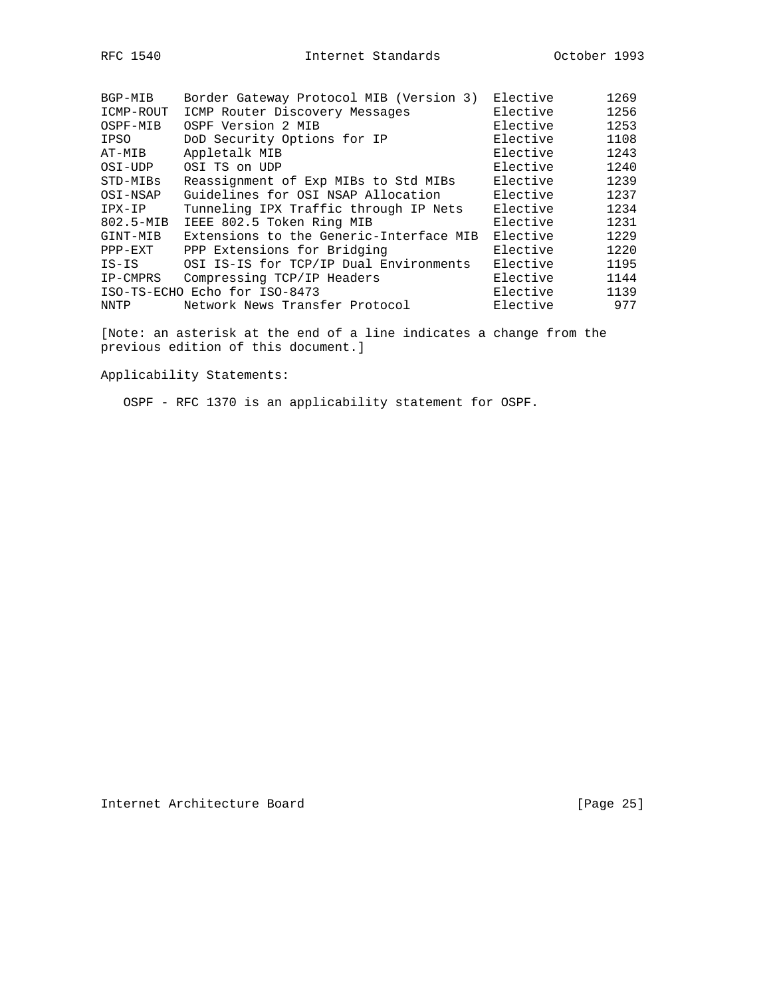| BGP-MIB   | Border Gateway Protocol MIB (Version 3) | Elective | 1269 |
|-----------|-----------------------------------------|----------|------|
| ICMP-ROUT | ICMP Router Discovery Messages          | Elective | 1256 |
| OSPF-MIB  | OSPF Version 2 MIB                      | Elective | 1253 |
| IPSO      | DoD Security Options for IP             | Elective | 1108 |
| AT-MIB    | Appletalk MIB                           | Elective | 1243 |
| OSI-UDP   | OSI TS on UDP                           | Elective | 1240 |
| STD-MIBs  | Reassignment of Exp MIBs to Std MIBs    | Elective | 1239 |
| OSI-NSAP  | Guidelines for OSI NSAP Allocation      | Elective | 1237 |
| IPX-IP    | Tunneling IPX Traffic through IP Nets   | Elective | 1234 |
| 802.5-MIB | IEEE 802.5 Token Ring MIB               | Elective | 1231 |
| GINT-MIB  | Extensions to the Generic-Interface MIB | Elective | 1229 |
| PPP-EXT   | PPP Extensions for Bridging             | Elective | 1220 |
| $IS-IS$   | OSI IS-IS for TCP/IP Dual Environments  | Elective | 1195 |
| IP-CMPRS  | Compressing TCP/IP Headers              | Elective | 1144 |
|           | ISO-TS-ECHO Echo for ISO-8473           | Elective | 1139 |
| NNTP      | Network News Transfer Protocol          | Elective | 977  |

[Note: an asterisk at the end of a line indicates a change from the previous edition of this document.]

Applicability Statements:

OSPF - RFC 1370 is an applicability statement for OSPF.

Internet Architecture Board [Page 25]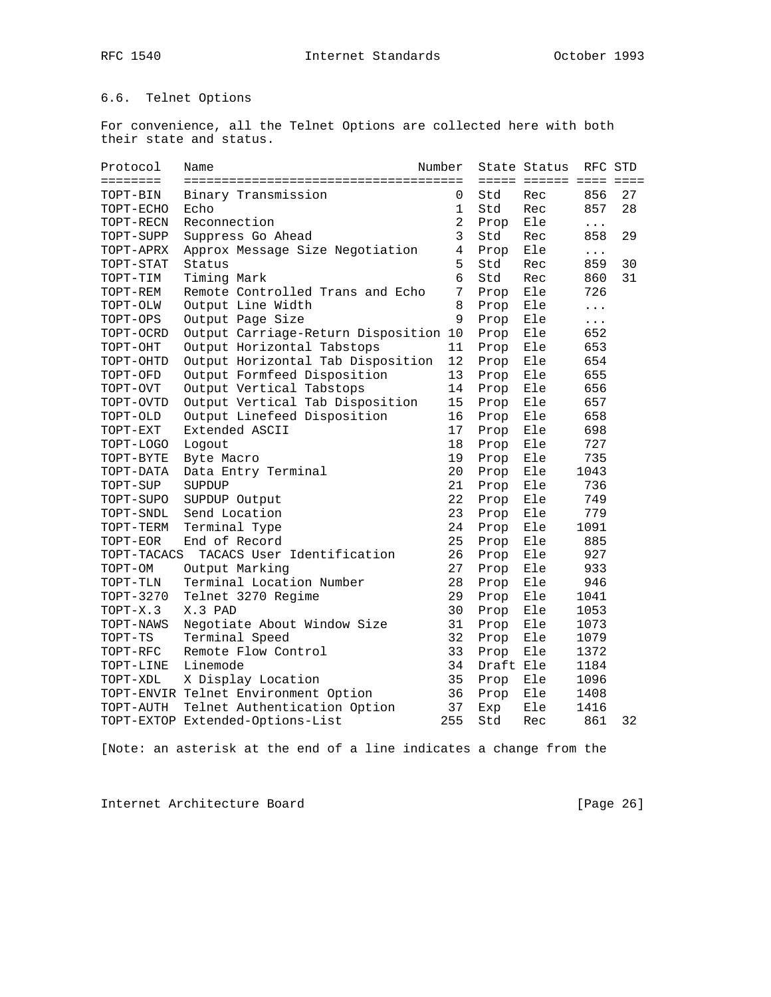# 6.6. Telnet Options

For convenience, all the Telnet Options are collected here with both their state and status.

| Protocol    | Name                                 | Number         |           | State Status           | RFC STD  |    |
|-------------|--------------------------------------|----------------|-----------|------------------------|----------|----|
| ========    |                                      |                |           | ===== ====== ==== ==== |          |    |
| TOPT-BIN    | Binary Transmission                  | 0              | Std       | Rec                    | 856      | 27 |
| TOPT-ECHO   | Echo                                 | 1              | Std       | Rec                    | 857      | 28 |
| TOPT-RECN   | Reconnection                         | $\overline{a}$ | Prop      | Ele                    | $\cdots$ |    |
| TOPT-SUPP   | Suppress Go Ahead                    | 3              | Std       | Rec                    | 858      | 29 |
| TOPT-APRX   | Approx Message Size Negotiation      | $\overline{4}$ | Prop      | Ele                    | $\cdots$ |    |
| TOPT-STAT   | Status                               | 5              | Std       | Rec                    | 859      | 30 |
| TOPT-TIM    | Timing Mark                          | б.             | Std       | Rec                    | 860      | 31 |
| TOPT-REM    | Remote Controlled Trans and Echo     | 7              | Prop      | Ele                    | 726      |    |
| TOPT-OLW    | Output Line Width                    | 8              | Prop      | Ele                    | $\cdots$ |    |
| TOPT-OPS    | Output Page Size                     | 9              | Prop      | Ele                    | $\cdots$ |    |
| TOPT-OCRD   | Output Carriage-Return Disposition   | 10             | Prop      | Ele                    | 652      |    |
| TOPT-OHT    | Output Horizontal Tabstops           | 11             | Prop      | Ele                    | 653      |    |
| TOPT-OHTD   | Output Horizontal Tab Disposition    | 12             | Prop      | Ele                    | 654      |    |
| TOPT-OFD    | Output Formfeed Disposition          | 13             | Prop      | Ele                    | 655      |    |
| TOPT-OVT    | Output Vertical Tabstops             | 14             | Prop      | Ele                    | 656      |    |
| TOPT-OVTD   | Output Vertical Tab Disposition      | 15             | Prop      | Ele                    | 657      |    |
| TOPT-OLD    | Output Linefeed Disposition          | 16             | Prop      | Ele                    | 658      |    |
| TOPT-EXT    | Extended ASCII                       | 17             | Prop      | Ele                    | 698      |    |
| TOPT-LOGO   | Logout                               | 18             | Prop      | Ele                    | 727      |    |
| TOPT-BYTE   | Byte Macro                           | 19             | Prop      | Ele                    | 735      |    |
| TOPT-DATA   | Data Entry Terminal                  | 20             | Prop      | Ele                    | 1043     |    |
| TOPT-SUP    | SUPDUP                               | 21             | Prop      | Ele                    | 736      |    |
| TOPT-SUPO   | SUPDUP Output                        | 22             | Prop      | Ele                    | 749      |    |
| TOPT-SNDL   | Send Location                        | 23             | Prop      | Ele                    | 779      |    |
| TOPT-TERM   | Terminal Type                        | 24             | Prop      | Ele                    | 1091     |    |
| TOPT-EOR    | End of Record                        | 25             | Prop      | Ele                    | 885      |    |
| TOPT-TACACS | TACACS User Identification           | 26             | Prop      | Ele                    | 927      |    |
| TOPT-OM     | Output Marking                       | 27             | Prop      | Ele                    | 933      |    |
| TOPT-TLN    | Terminal Location Number             | 28             | Prop      | Ele                    | 946      |    |
| TOPT-3270   | Telnet 3270 Regime                   | 29             | Prop      | Ele                    | 1041     |    |
| $TOPT-X.3$  | X.3 PAD                              | 30             | Prop      | Ele                    | 1053     |    |
| TOPT-NAWS   | Negotiate About Window Size          | 31             | Prop      | Ele                    | 1073     |    |
| TOPT-TS     | Terminal Speed                       | 32             | Prop      | Ele                    | 1079     |    |
| TOPT-RFC    | Remote Flow Control                  | 33             | Prop      | Ele                    | 1372     |    |
| TOPT-LINE   | Linemode                             | 34             | Draft Ele |                        | 1184     |    |
| TOPT-XDL    | X Display Location                   | 35             | Prop      | Ele                    | 1096     |    |
|             | TOPT-ENVIR Telnet Environment Option | 36             | Prop      | Ele                    | 1408     |    |
| TOPT-AUTH   | Telnet Authentication Option         | 37             | Exp       | Ele                    | 1416     |    |
|             | TOPT-EXTOP Extended-Options-List     | 255            | Std       | Rec                    | 861      | 32 |

[Note: an asterisk at the end of a line indicates a change from the

Internet Architecture Board [Page 26]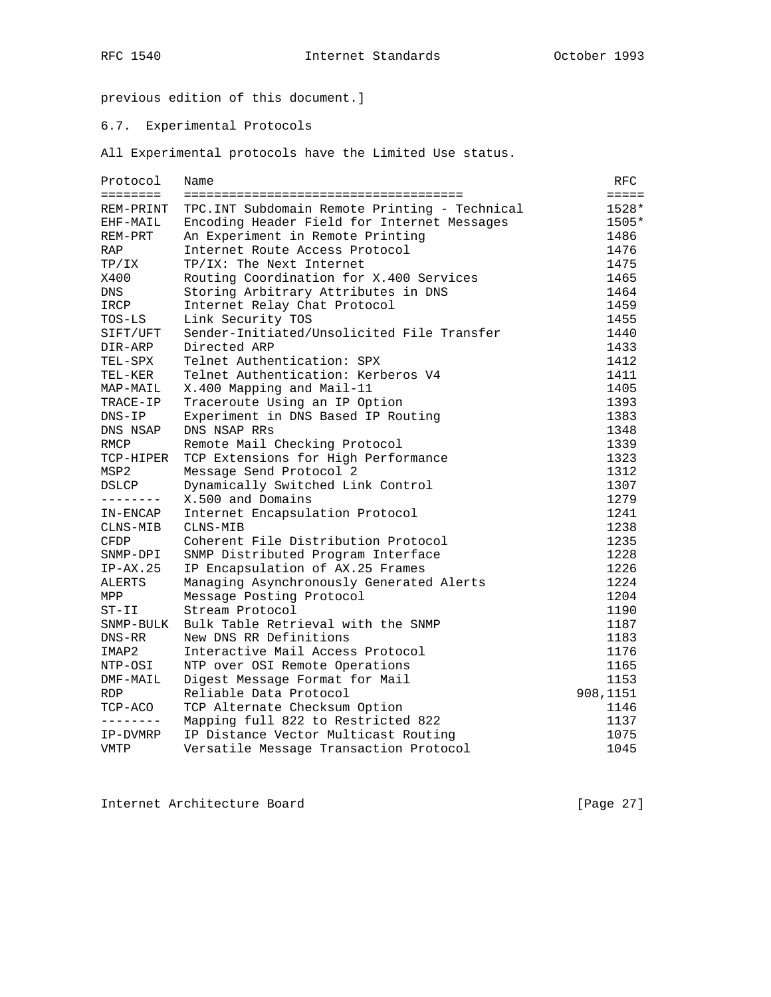previous edition of this document.]

## 6.7. Experimental Protocols

All Experimental protocols have the Limited Use status.

| Protocol     | Name                                           | RFC      |
|--------------|------------------------------------------------|----------|
| ========     |                                                | $=$      |
| REM-PRINT    | TPC. INT Subdomain Remote Printing - Technical | 1528*    |
| EHF-MAIL     | Encoding Header Field for Internet Messages    | 1505*    |
| REM-PRT      | An Experiment in Remote Printing               | 1486     |
| RAP          | Internet Route Access Protocol                 | 1476     |
| TP/IX        | TP/IX: The Next Internet                       | 1475     |
| X400         | Routing Coordination for X.400 Services        | 1465     |
| DNS          | Storing Arbitrary Attributes in DNS            | 1464     |
| IRCP         | Internet Relay Chat Protocol                   | 1459     |
| $TOS-LS$     | Link Security TOS                              | 1455     |
| SIFT/UFT     | Sender-Initiated/Unsolicited File Transfer     | 1440     |
| DIR-ARP      | Directed ARP                                   | 1433     |
| TEL-SPX      | Telnet Authentication: SPX                     | 1412     |
| TEL-KER      | Telnet Authentication: Kerberos V4             | 1411     |
| MAP-MAIL     | X.400 Mapping and Mail-11                      | 1405     |
| TRACE-IP     | Traceroute Using an IP Option                  | 1393     |
| $DNS-IP$     | Experiment in DNS Based IP Routing             | 1383     |
| DNS NSAP     | DNS NSAP RRs                                   | 1348     |
| RMCP         | Remote Mail Checking Protocol                  | 1339     |
| TCP-HIPER    | TCP Extensions for High Performance            | 1323     |
| MSP2         | Message Send Protocol 2                        | 1312     |
| <b>DSLCP</b> | Dynamically Switched Link Control              | 1307     |
| --------     | X.500 and Domains                              | 1279     |
| IN-ENCAP     | Internet Encapsulation Protocol                | 1241     |
| CLNS-MIB     | CLNS-MIB                                       | 1238     |
| <b>CFDP</b>  | Coherent File Distribution Protocol            | 1235     |
| SNMP-DPI     | SNMP Distributed Program Interface             | 1228     |
| $IP-AX.25$   | IP Encapsulation of AX.25 Frames               | 1226     |
| ALERTS       | Managing Asynchronously Generated Alerts       | 1224     |
| MPP          | Message Posting Protocol                       | 1204     |
| $ST-II$      | Stream Protocol                                | 1190     |
| SNMP-BULK    | Bulk Table Retrieval with the SNMP             | 1187     |
| DNS-RR       | New DNS RR Definitions                         | 1183     |
| IMAP2        | Interactive Mail Access Protocol               | 1176     |
| NTP-OSI      | NTP over OSI Remote Operations                 | 1165     |
| DMF-MAIL     | Digest Message Format for Mail                 | 1153     |
| <b>RDP</b>   | Reliable Data Protocol                         | 908,1151 |
| TCP-ACO      | TCP Alternate Checksum Option                  | 1146     |
| --------     | Mapping full 822 to Restricted 822             | 1137     |
| IP-DVMRP     | IP Distance Vector Multicast Routing           | 1075     |
| VMTP         | Versatile Message Transaction Protocol         | 1045     |

Internet Architecture Board [Page 27]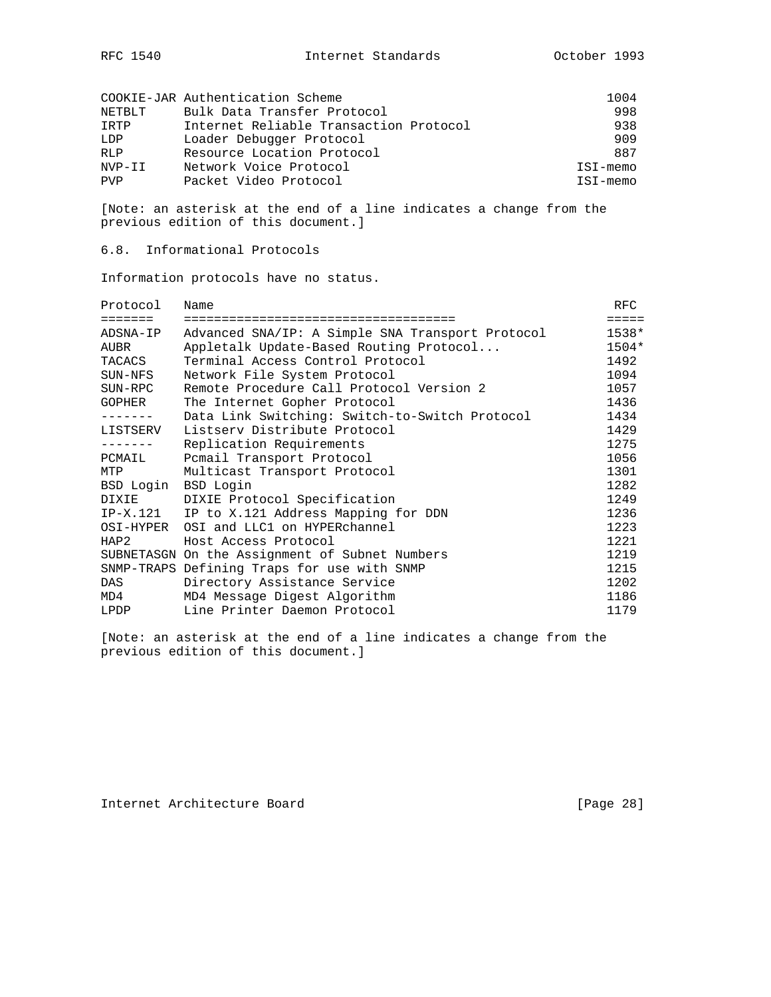|            | COOKIE-JAR Authentication Scheme       | 1004     |
|------------|----------------------------------------|----------|
| NETBLT     | Bulk Data Transfer Protocol            | 998      |
| IRTP       | Internet Reliable Transaction Protocol | 938      |
| LDP        | Loader Debugger Protocol               | 909      |
| <b>RLP</b> | Resource Location Protocol             | 887      |
| NVP-II     | Network Voice Protocol                 | ISI-memo |
| <b>PVP</b> | Packet Video Protocol                  | ISI-memo |

[Note: an asterisk at the end of a line indicates a change from the previous edition of this document.]

6.8. Informational Protocols

Information protocols have no status.

| Protocol      | Name                                             | <b>RFC</b> |
|---------------|--------------------------------------------------|------------|
| =======       |                                                  | =====      |
| ADSNA-IP      | Advanced SNA/IP: A Simple SNA Transport Protocol | 1538*      |
| AUBR          | Appletalk Update-Based Routing Protocol          | $1504*$    |
| TACACS        | Terminal Access Control Protocol                 | 1492       |
| SUN-NFS       | Network File System Protocol                     | 1094       |
| SUN-RPC       | Remote Procedure Call Protocol Version 2         | 1057       |
| <b>GOPHER</b> | The Internet Gopher Protocol                     | 1436       |
|               | Data Link Switching: Switch-to-Switch Protocol   | 1434       |
| LISTSERV      | Listsery Distribute Protocol                     | 1429       |
|               | Replication Requirements                         | 1275       |
| PCMAIL        | Pomail Transport Protocol                        | 1056       |
| MTP           | Multicast Transport Protocol                     | 1301       |
| BSD Login     | BSD Login                                        | 1282       |
| <b>DIXIE</b>  | DIXIE Protocol Specification                     | 1249       |
| IP-X.121      | IP to X.121 Address Mapping for DDN              | 1236       |
| OSI-HYPER     | OSI and LLC1 on HYPERchannel                     | 1223       |
| HAP2          | Host Access Protocol                             | 1221       |
|               | SUBNETASGN On the Assignment of Subnet Numbers   | 1219       |
|               | SNMP-TRAPS Defining Traps for use with SNMP      | 1215       |
| DAS           | Directory Assistance Service                     | 1202       |
| MD4           | MD4 Message Digest Algorithm                     | 1186       |
| LPDP          | Line Printer Daemon Protocol                     | 1179       |

[Note: an asterisk at the end of a line indicates a change from the previous edition of this document.]

Internet Architecture Board [Page 28]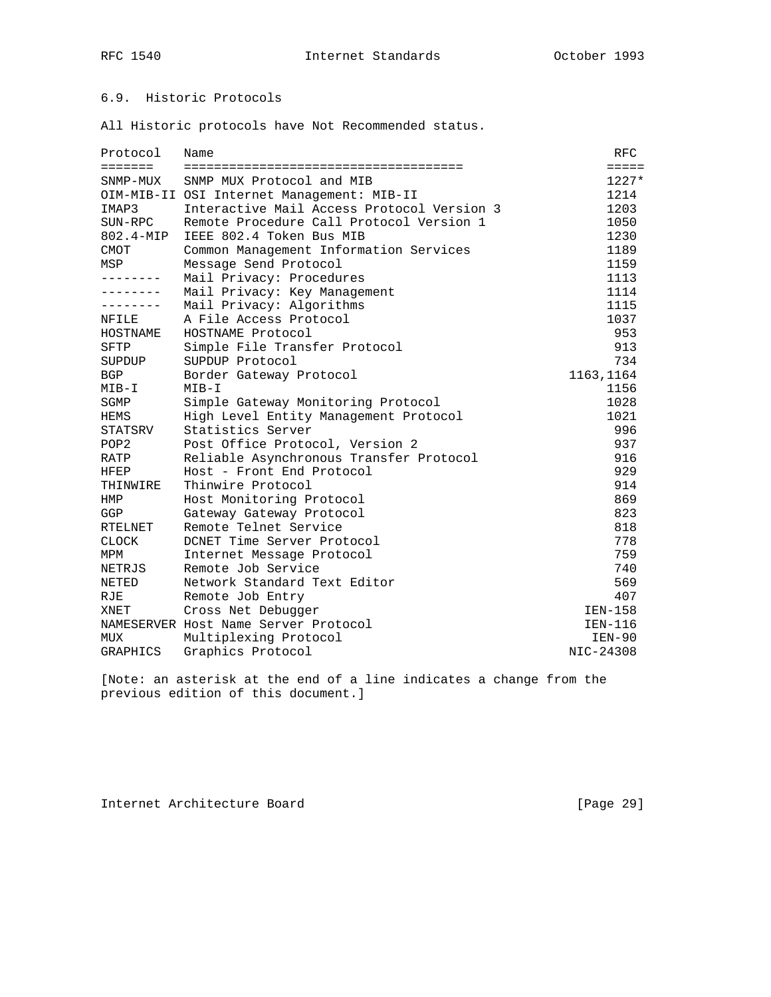# 6.9. Historic Protocols

All Historic protocols have Not Recommended status.

| Protocol                | Name                                       | RFC             |
|-------------------------|--------------------------------------------|-----------------|
| $=$ $=$ $=$ $=$ $=$ $=$ |                                            | $=$ $=$ $=$ $=$ |
| SNMP-MUX                | SNMP MUX Protocol and MIB                  | $1227*$         |
|                         | OIM-MIB-II OSI Internet Management: MIB-II | 1214            |
| IMAP3                   | Interactive Mail Access Protocol Version 3 | 1203            |
| SUN-RPC                 | Remote Procedure Call Protocol Version 1   | 1050            |
| $802.4 - \text{MIP}$    | IEEE 802.4 Token Bus MIB                   | 1230            |
| CMOT                    | Common Management Information Services     | 1189            |
| MSP                     | Message Send Protocol                      | 1159            |
|                         | Mail Privacy: Procedures                   | 1113            |
|                         | Mail Privacy: Key Management               | 1114            |
|                         | Mail Privacy: Algorithms                   | 1115            |
| NFILE                   | A File Access Protocol                     | 1037            |
| HOSTNAME                | HOSTNAME Protocol                          | 953             |
| <b>SFTP</b>             | Simple File Transfer Protocol              | 913             |
| SUPDUP                  | SUPDUP Protocol                            | 734             |
| <b>BGP</b>              | Border Gateway Protocol                    | 1163,1164       |
| $MIB-I$                 | $MIB-I$                                    | 1156            |
| SGMP                    | Simple Gateway Monitoring Protocol         | 1028            |
| HEMS                    | High Level Entity Management Protocol      | 1021            |
| STATSRV                 | Statistics Server                          | 996             |
| POP <sub>2</sub>        | Post Office Protocol, Version 2            | 937             |
| RATP                    | Reliable Asynchronous Transfer Protocol    | 916             |
| HFEP                    | Host - Front End Protocol                  | 929             |
| THINWIRE                | Thinwire Protocol                          | 914             |
| HMP                     | Host Monitoring Protocol                   | 869             |
| GGP                     | Gateway Gateway Protocol                   | 823             |
| RTELNET                 | Remote Telnet Service                      | 818             |
| <b>CLOCK</b>            | DCNET Time Server Protocol                 | 778             |
| MPM                     | Internet Message Protocol                  | 759             |
| NETRJS                  | Remote Job Service                         | 740             |
| <b>NETED</b>            | Network Standard Text Editor               | 569             |
| RJE                     | Remote Job Entry                           | 407             |
| XNET                    | Cross Net Debugger                         | IEN-158         |
|                         | NAMESERVER Host Name Server Protocol       | IEN-116         |
| MUX                     | Multiplexing Protocol                      | $IEN-90$        |
| GRAPHICS                | Graphics Protocol                          | NIC-24308       |

[Note: an asterisk at the end of a line indicates a change from the previous edition of this document.]

Internet Architecture Board [Page 29]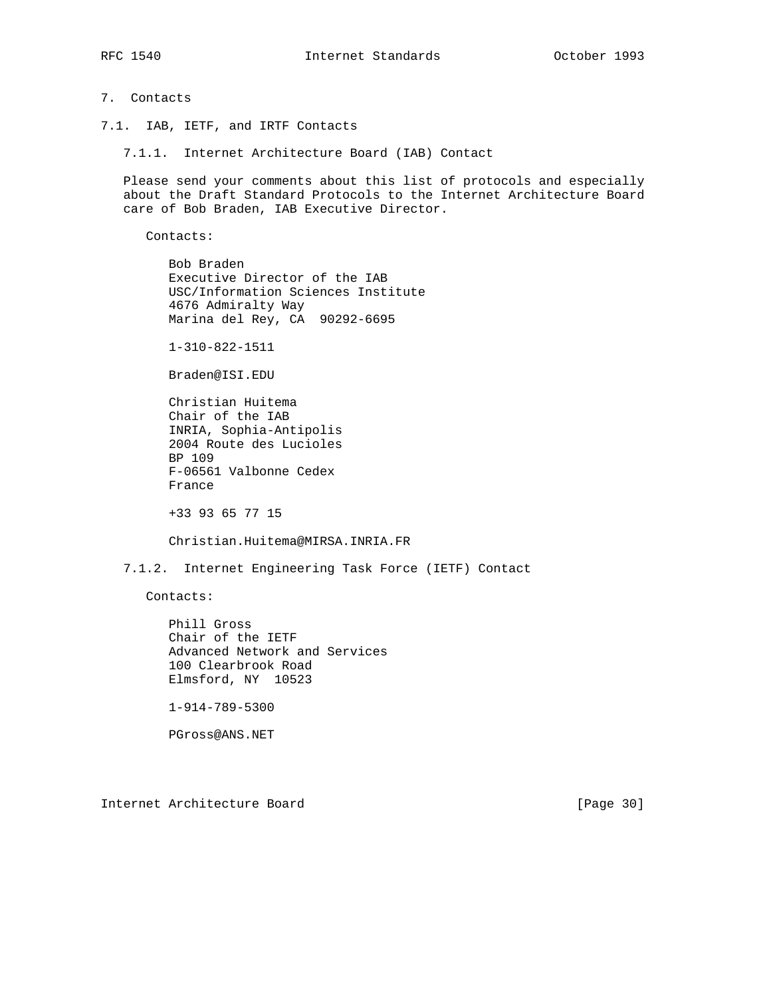## 7. Contacts

- 7.1. IAB, IETF, and IRTF Contacts
	- 7.1.1. Internet Architecture Board (IAB) Contact

 Please send your comments about this list of protocols and especially about the Draft Standard Protocols to the Internet Architecture Board care of Bob Braden, IAB Executive Director.

Contacts:

 Bob Braden Executive Director of the IAB USC/Information Sciences Institute 4676 Admiralty Way Marina del Rey, CA 90292-6695

1-310-822-1511

Braden@ISI.EDU

 Christian Huitema Chair of the IAB INRIA, Sophia-Antipolis 2004 Route des Lucioles BP 109 F-06561 Valbonne Cedex France

+33 93 65 77 15

Christian.Huitema@MIRSA.INRIA.FR

7.1.2. Internet Engineering Task Force (IETF) Contact

Contacts:

 Phill Gross Chair of the IETF Advanced Network and Services 100 Clearbrook Road Elmsford, NY 10523

1-914-789-5300

PGross@ANS.NET

Internet Architecture Board [Page 30]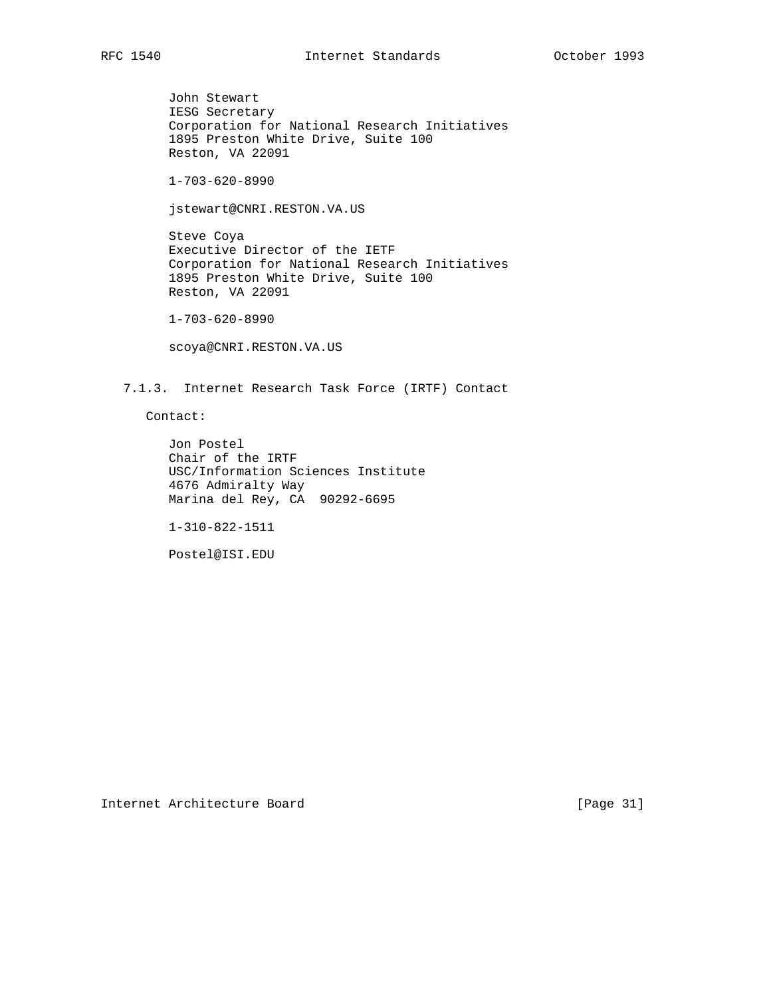John Stewart IESG Secretary Corporation for National Research Initiatives 1895 Preston White Drive, Suite 100 Reston, VA 22091

1-703-620-8990

jstewart@CNRI.RESTON.VA.US

 Steve Coya Executive Director of the IETF Corporation for National Research Initiatives 1895 Preston White Drive, Suite 100 Reston, VA 22091

1-703-620-8990

scoya@CNRI.RESTON.VA.US

7.1.3. Internet Research Task Force (IRTF) Contact

Contact:

 Jon Postel Chair of the IRTF USC/Information Sciences Institute 4676 Admiralty Way Marina del Rey, CA 90292-6695

1-310-822-1511

Postel@ISI.EDU

Internet Architecture Board [Page 31]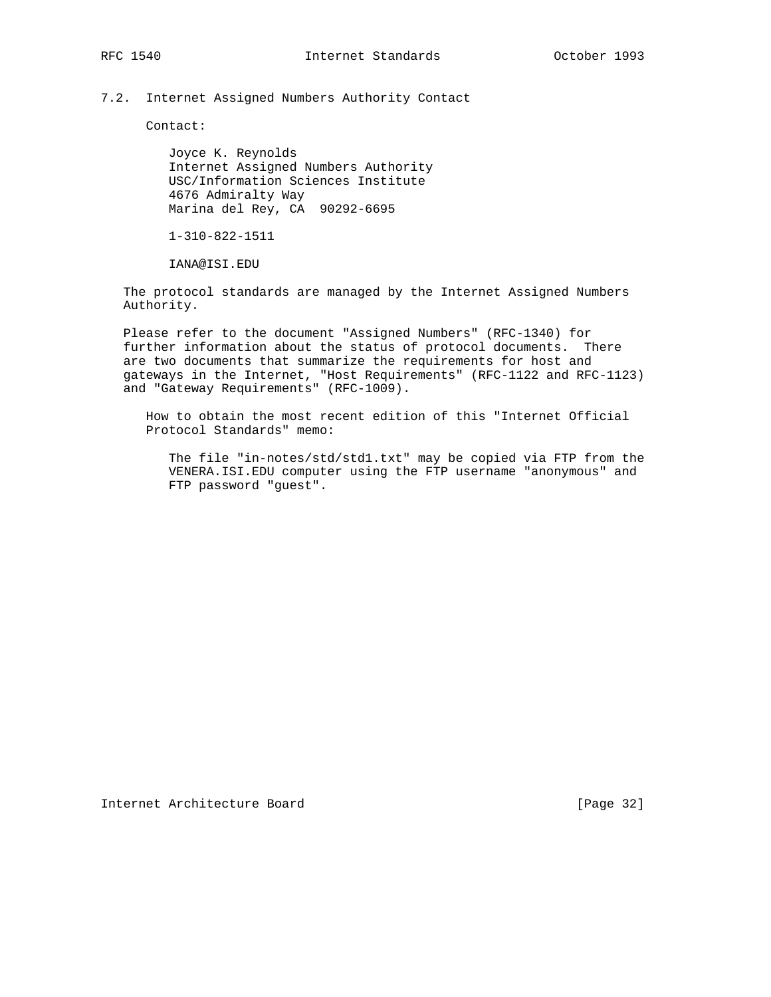## 7.2. Internet Assigned Numbers Authority Contact

Contact:

 Joyce K. Reynolds Internet Assigned Numbers Authority USC/Information Sciences Institute 4676 Admiralty Way Marina del Rey, CA 90292-6695

1-310-822-1511

IANA@ISI.EDU

 The protocol standards are managed by the Internet Assigned Numbers Authority.

 Please refer to the document "Assigned Numbers" (RFC-1340) for further information about the status of protocol documents. There are two documents that summarize the requirements for host and gateways in the Internet, "Host Requirements" (RFC-1122 and RFC-1123) and "Gateway Requirements" (RFC-1009).

 How to obtain the most recent edition of this "Internet Official Protocol Standards" memo:

 The file "in-notes/std/std1.txt" may be copied via FTP from the VENERA.ISI.EDU computer using the FTP username "anonymous" and FTP password "guest".

Internet Architecture Board [Page 32]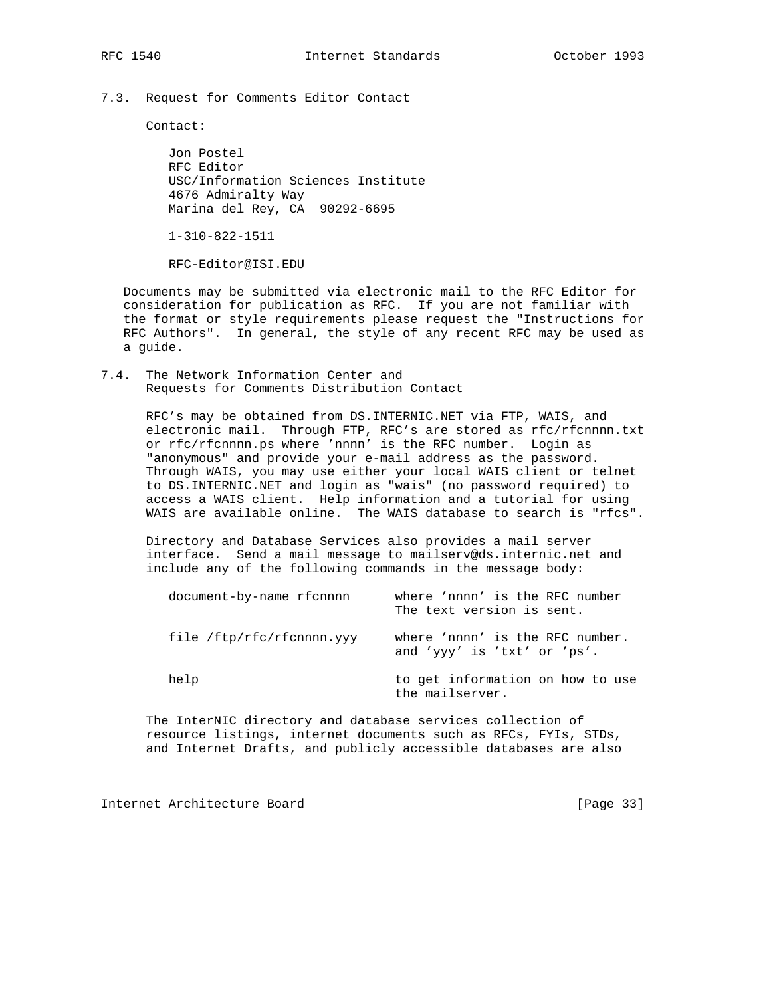7.3. Request for Comments Editor Contact

Contact:

 Jon Postel RFC Editor USC/Information Sciences Institute 4676 Admiralty Way Marina del Rey, CA 90292-6695

1-310-822-1511

RFC-Editor@ISI.EDU

 Documents may be submitted via electronic mail to the RFC Editor for consideration for publication as RFC. If you are not familiar with the format or style requirements please request the "Instructions for RFC Authors". In general, the style of any recent RFC may be used as a guide.

7.4. The Network Information Center and Requests for Comments Distribution Contact

> RFC's may be obtained from DS.INTERNIC.NET via FTP, WAIS, and electronic mail. Through FTP, RFC's are stored as rfc/rfcnnnn.txt or rfc/rfcnnnn.ps where 'nnnn' is the RFC number. Login as "anonymous" and provide your e-mail address as the password. Through WAIS, you may use either your local WAIS client or telnet to DS.INTERNIC.NET and login as "wais" (no password required) to access a WAIS client. Help information and a tutorial for using WAIS are available online. The WAIS database to search is "rfcs".

 Directory and Database Services also provides a mail server interface. Send a mail message to mailserv@ds.internic.net and include any of the following commands in the message body:

| document-by-name rfcnnnn  | where 'nnnn' is the RFC number<br>The text version is sent.    |
|---------------------------|----------------------------------------------------------------|
| file /ftp/rfc/rfcnnnn.yyy | where 'nnnn' is the RFC number.<br>and 'yyy' is 'txt' or 'ps'. |
| help                      | to get information on how to use<br>the mailserver.            |

 The InterNIC directory and database services collection of resource listings, internet documents such as RFCs, FYIs, STDs, and Internet Drafts, and publicly accessible databases are also

Internet Architecture Board [Page 33]